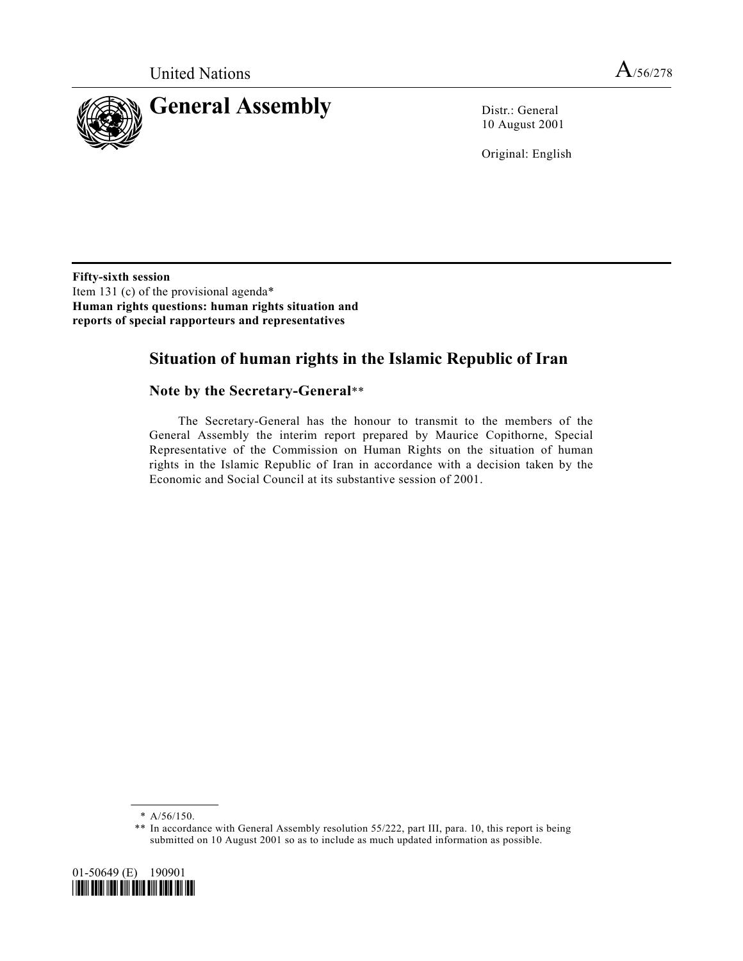

10 August 2001

Original: English

**Fifty-sixth session** Item 131 (c) of the provisional agenda\* **Human rights questions: human rights situation and reports of special rapporteurs and representatives**

## **Situation of human rights in the Islamic Republic of Iran**

## **Note by the Secretary-General**\*\*

The Secretary-General has the honour to transmit to the members of the General Assembly the interim report prepared by Maurice Copithorne, Special Representative of the Commission on Human Rights on the situation of human rights in the Islamic Republic of Iran in accordance with a decision taken by the Economic and Social Council at its substantive session of 2001.

<sup>\*\*</sup> In accordance with General Assembly resolution 55/222, part III, para. 10, this report is being submitted on 10 August 2001 so as to include as much updated information as possible.



<sup>\*</sup> A/56/150.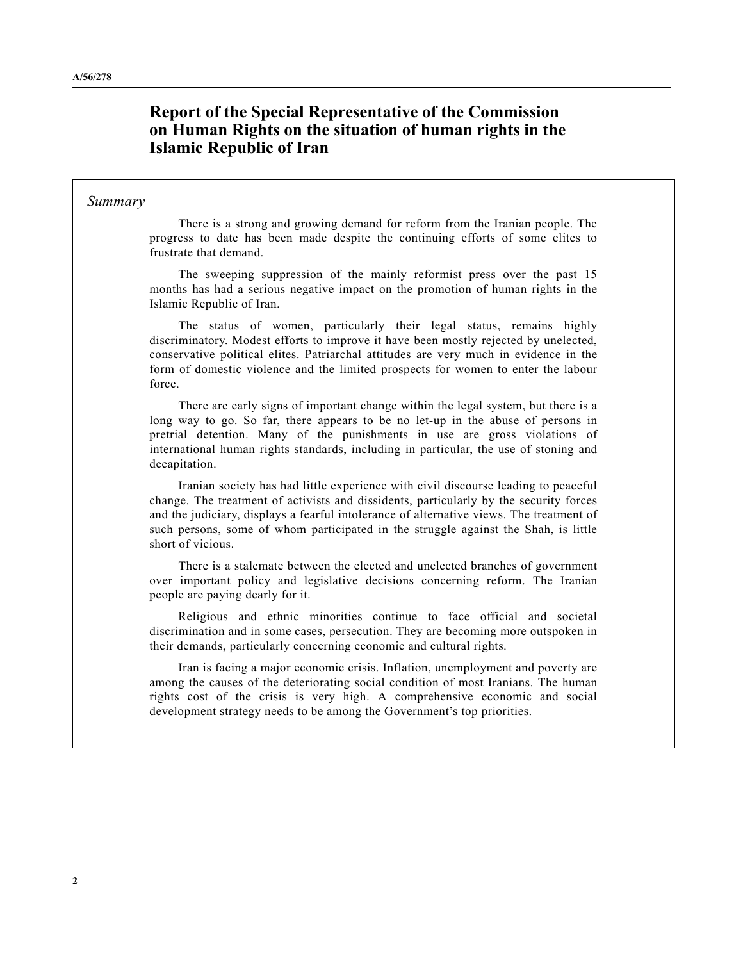## **Report of the Special Representative of the Commission on Human Rights on the situation of human rights in the Islamic Republic of Iran**

#### *Summary*

There is a strong and growing demand for reform from the Iranian people. The progress to date has been made despite the continuing efforts of some elites to frustrate that demand.

The sweeping suppression of the mainly reformist press over the past 15 months has had a serious negative impact on the promotion of human rights in the Islamic Republic of Iran.

The status of women, particularly their legal status, remains highly discriminatory. Modest efforts to improve it have been mostly rejected by unelected, conservative political elites. Patriarchal attitudes are very much in evidence in the form of domestic violence and the limited prospects for women to enter the labour force.

There are early signs of important change within the legal system, but there is a long way to go. So far, there appears to be no let-up in the abuse of persons in pretrial detention. Many of the punishments in use are gross violations of international human rights standards, including in particular, the use of stoning and decapitation.

Iranian society has had little experience with civil discourse leading to peaceful change. The treatment of activists and dissidents, particularly by the security forces and the judiciary, displays a fearful intolerance of alternative views. The treatment of such persons, some of whom participated in the struggle against the Shah, is little short of vicious.

There is a stalemate between the elected and unelected branches of government over important policy and legislative decisions concerning reform. The Iranian people are paying dearly for it.

Religious and ethnic minorities continue to face official and societal discrimination and in some cases, persecution. They are becoming more outspoken in their demands, particularly concerning economic and cultural rights.

Iran is facing a major economic crisis. Inflation, unemployment and poverty are among the causes of the deteriorating social condition of most Iranians. The human rights cost of the crisis is very high. A comprehensive economic and social development strategy needs to be among the Government's top priorities.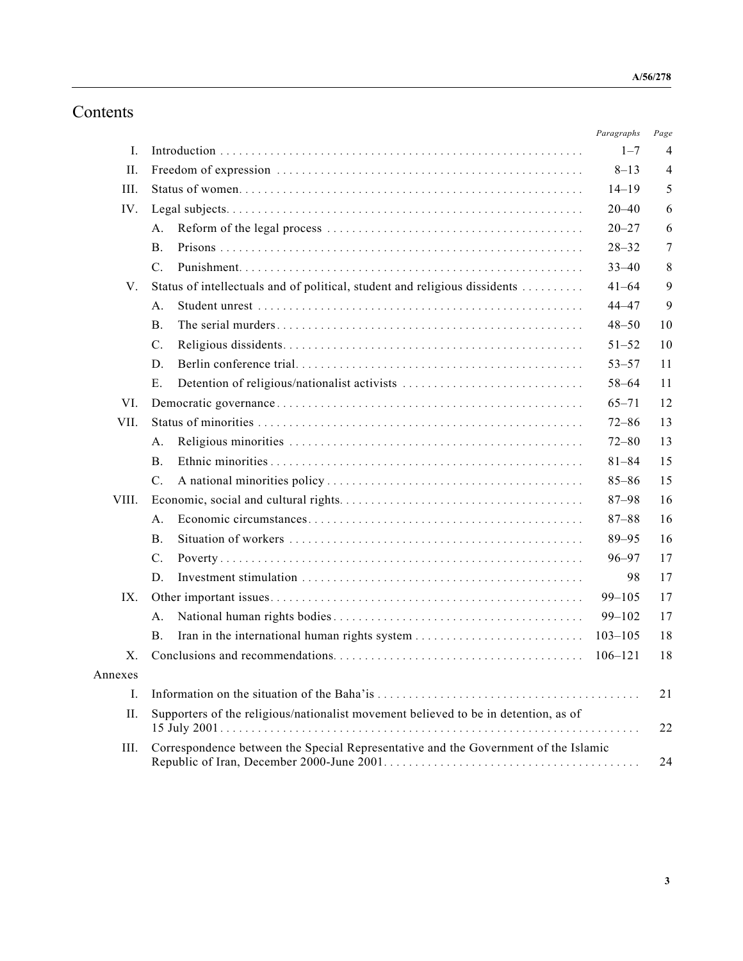# Contents

|         |                                                                                     | Paragraphs  | Page |
|---------|-------------------------------------------------------------------------------------|-------------|------|
| Ι.      |                                                                                     | $1 - 7$     | 4    |
| II.     |                                                                                     | $8 - 13$    | 4    |
| III.    |                                                                                     | $14 - 19$   | 5    |
| IV.     |                                                                                     | $20 - 40$   | 6    |
|         | А.                                                                                  | $20 - 27$   | 6    |
|         | <b>B.</b>                                                                           | $28 - 32$   | 7    |
|         | $\mathcal{C}$ .                                                                     | $33 - 40$   | 8    |
| V.      | Status of intellectuals and of political, student and religious dissidents          | $41 - 64$   | 9    |
|         | А.                                                                                  | $44 - 47$   | 9    |
|         | $\mathbf{B}$ .                                                                      | $48 - 50$   | 10   |
|         | $C$ .                                                                               | $51 - 52$   | 10   |
|         | D.                                                                                  | $53 - 57$   | 11   |
|         | Ε.                                                                                  | 58-64       | 11   |
| VI.     |                                                                                     | $65 - 71$   | 12   |
| VII.    |                                                                                     | $72 - 86$   | 13   |
|         | A.                                                                                  | $72 - 80$   | 13   |
|         | <b>B</b> .                                                                          | $81 - 84$   | 15   |
|         | $\mathbf{C}$ .                                                                      | $85 - 86$   | 15   |
| VIII.   |                                                                                     | $87 - 98$   | 16   |
|         | $A_{\cdot}$                                                                         | $87 - 88$   | 16   |
|         | <b>B.</b>                                                                           | $89 - 95$   | 16   |
|         | $C$ .                                                                               | $96 - 97$   | 17   |
|         | D.                                                                                  | 98          | 17   |
| IX.     |                                                                                     | $99 - 105$  | 17   |
|         | А.                                                                                  | $99 - 102$  | 17   |
|         | Β.                                                                                  | $103 - 105$ | 18   |
| X.      |                                                                                     | $106 - 121$ | 18   |
| Annexes |                                                                                     |             |      |
| Ι.      | 21                                                                                  |             |      |
| II.     | Supporters of the religious/nationalist movement believed to be in detention, as of |             |      |
|         | 22                                                                                  |             |      |
| III.    | Correspondence between the Special Representative and the Government of the Islamic |             | 24   |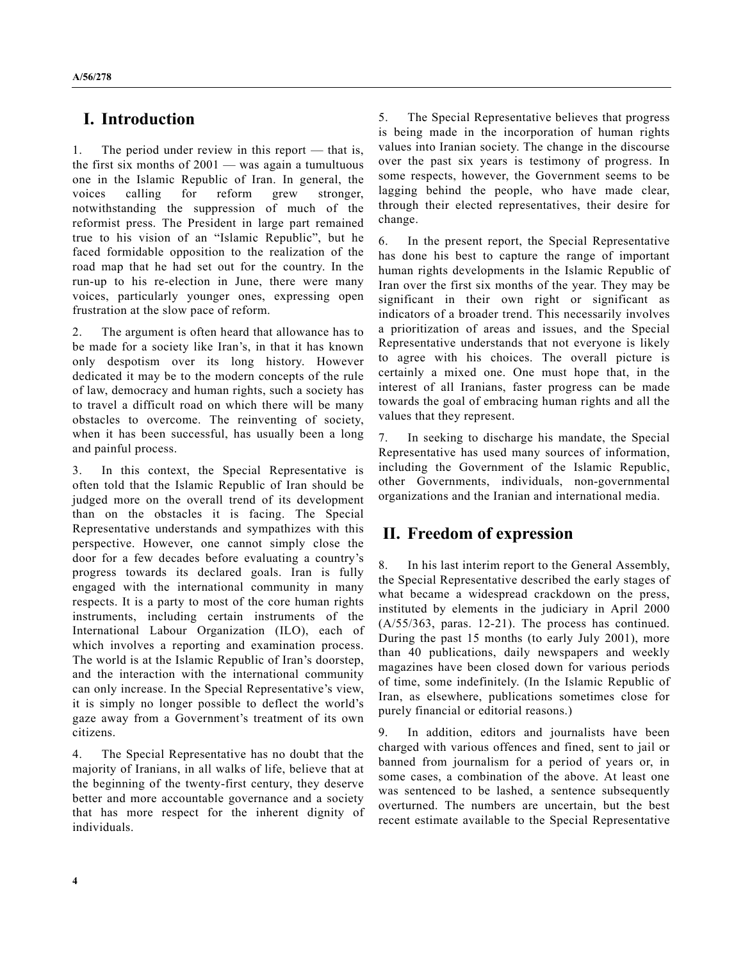## **I. Introduction**

1. The period under review in this report — that is, the first six months of  $2001 -$  was again a tumultuous one in the Islamic Republic of Iran. In general, the voices calling for reform grew stronger, notwithstanding the suppression of much of the reformist press. The President in large part remained true to his vision of an "Islamic Republic", but he faced formidable opposition to the realization of the road map that he had set out for the country. In the run-up to his re-election in June, there were many voices, particularly younger ones, expressing open frustration at the slow pace of reform.

2. The argument is often heard that allowance has to be made for a society like Iran's, in that it has known only despotism over its long history. However dedicated it may be to the modern concepts of the rule of law, democracy and human rights, such a society has to travel a difficult road on which there will be many obstacles to overcome. The reinventing of society, when it has been successful, has usually been a long and painful process.

3. In this context, the Special Representative is often told that the Islamic Republic of Iran should be judged more on the overall trend of its development than on the obstacles it is facing. The Special Representative understands and sympathizes with this perspective. However, one cannot simply close the door for a few decades before evaluating a country's progress towards its declared goals. Iran is fully engaged with the international community in many respects. It is a party to most of the core human rights instruments, including certain instruments of the International Labour Organization (ILO), each of which involves a reporting and examination process. The world is at the Islamic Republic of Iran's doorstep, and the interaction with the international community can only increase. In the Special Representative's view, it is simply no longer possible to deflect the world's gaze away from a Government's treatment of its own citizens.

4. The Special Representative has no doubt that the majority of Iranians, in all walks of life, believe that at the beginning of the twenty-first century, they deserve better and more accountable governance and a society that has more respect for the inherent dignity of individuals.

5. The Special Representative believes that progress is being made in the incorporation of human rights values into Iranian society. The change in the discourse over the past six years is testimony of progress. In some respects, however, the Government seems to be lagging behind the people, who have made clear, through their elected representatives, their desire for change.

6. In the present report, the Special Representative has done his best to capture the range of important human rights developments in the Islamic Republic of Iran over the first six months of the year. They may be significant in their own right or significant as indicators of a broader trend. This necessarily involves a prioritization of areas and issues, and the Special Representative understands that not everyone is likely to agree with his choices. The overall picture is certainly a mixed one. One must hope that, in the interest of all Iranians, faster progress can be made towards the goal of embracing human rights and all the values that they represent.

7. In seeking to discharge his mandate, the Special Representative has used many sources of information, including the Government of the Islamic Republic, other Governments, individuals, non-governmental organizations and the Iranian and international media.

## **II. Freedom of expression**

8. In his last interim report to the General Assembly, the Special Representative described the early stages of what became a widespread crackdown on the press, instituted by elements in the judiciary in April 2000 (A/55/363, paras. 12-21). The process has continued. During the past 15 months (to early July 2001), more than 40 publications, daily newspapers and weekly magazines have been closed down for various periods of time, some indefinitely. (In the Islamic Republic of Iran, as elsewhere, publications sometimes close for purely financial or editorial reasons.)

In addition, editors and journalists have been charged with various offences and fined, sent to jail or banned from journalism for a period of years or, in some cases, a combination of the above. At least one was sentenced to be lashed, a sentence subsequently overturned. The numbers are uncertain, but the best recent estimate available to the Special Representative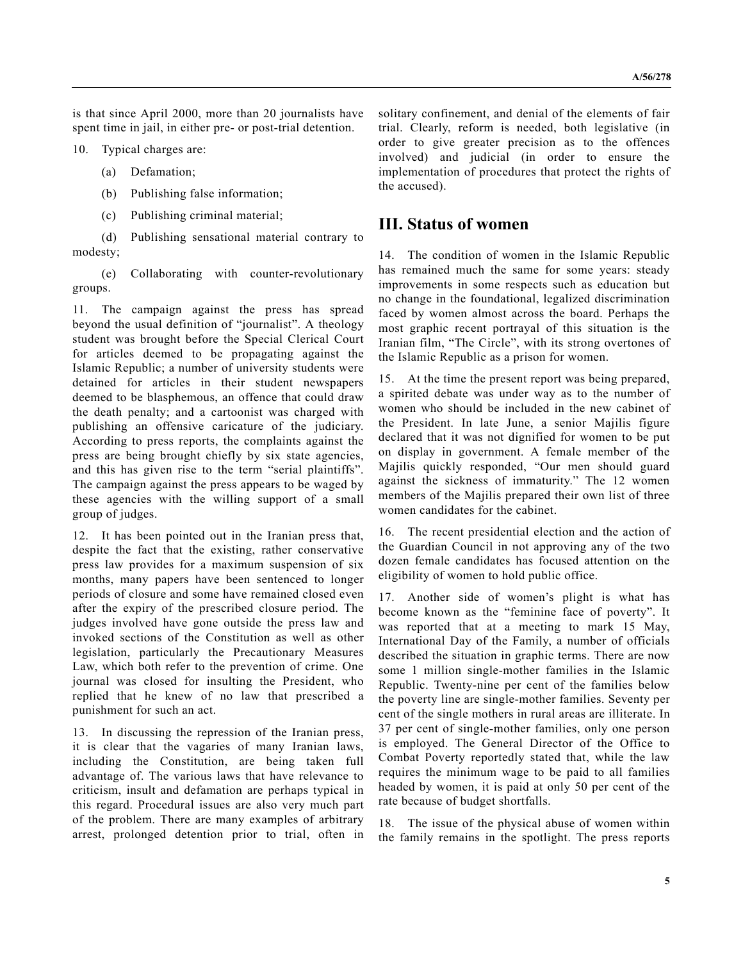is that since April 2000, more than 20 journalists have spent time in jail, in either pre- or post-trial detention.

10. Typical charges are:

- (a) Defamation;
- (b) Publishing false information;
- (c) Publishing criminal material;

(d) Publishing sensational material contrary to modesty;

(e) Collaborating with counter-revolutionary groups.

11. The campaign against the press has spread beyond the usual definition of "journalist". A theology student was brought before the Special Clerical Court for articles deemed to be propagating against the Islamic Republic; a number of university students were detained for articles in their student newspapers deemed to be blasphemous, an offence that could draw the death penalty; and a cartoonist was charged with publishing an offensive caricature of the judiciary. According to press reports, the complaints against the press are being brought chiefly by six state agencies, and this has given rise to the term "serial plaintiffs". The campaign against the press appears to be waged by these agencies with the willing support of a small group of judges.

12. It has been pointed out in the Iranian press that, despite the fact that the existing, rather conservative press law provides for a maximum suspension of six months, many papers have been sentenced to longer periods of closure and some have remained closed even after the expiry of the prescribed closure period. The judges involved have gone outside the press law and invoked sections of the Constitution as well as other legislation, particularly the Precautionary Measures Law, which both refer to the prevention of crime. One journal was closed for insulting the President, who replied that he knew of no law that prescribed a punishment for such an act.

13. In discussing the repression of the Iranian press, it is clear that the vagaries of many Iranian laws, including the Constitution, are being taken full advantage of. The various laws that have relevance to criticism, insult and defamation are perhaps typical in this regard. Procedural issues are also very much part of the problem. There are many examples of arbitrary arrest, prolonged detention prior to trial, often in solitary confinement, and denial of the elements of fair trial. Clearly, reform is needed, both legislative (in order to give greater precision as to the offences involved) and judicial (in order to ensure the implementation of procedures that protect the rights of the accused).

### **III. Status of women**

14. The condition of women in the Islamic Republic has remained much the same for some years: steady improvements in some respects such as education but no change in the foundational, legalized discrimination faced by women almost across the board. Perhaps the most graphic recent portrayal of this situation is the Iranian film, "The Circle", with its strong overtones of the Islamic Republic as a prison for women.

15. At the time the present report was being prepared, a spirited debate was under way as to the number of women who should be included in the new cabinet of the President. In late June, a senior Majilis figure declared that it was not dignified for women to be put on display in government. A female member of the Majilis quickly responded, "Our men should guard against the sickness of immaturity." The 12 women members of the Majilis prepared their own list of three women candidates for the cabinet.

16. The recent presidential election and the action of the Guardian Council in not approving any of the two dozen female candidates has focused attention on the eligibility of women to hold public office.

17. Another side of women's plight is what has become known as the "feminine face of poverty". It was reported that at a meeting to mark 15 May, International Day of the Family, a number of officials described the situation in graphic terms. There are now some 1 million single-mother families in the Islamic Republic. Twenty-nine per cent of the families below the poverty line are single-mother families. Seventy per cent of the single mothers in rural areas are illiterate. In 37 per cent of single-mother families, only one person is employed. The General Director of the Office to Combat Poverty reportedly stated that, while the law requires the minimum wage to be paid to all families headed by women, it is paid at only 50 per cent of the rate because of budget shortfalls.

18. The issue of the physical abuse of women within the family remains in the spotlight. The press reports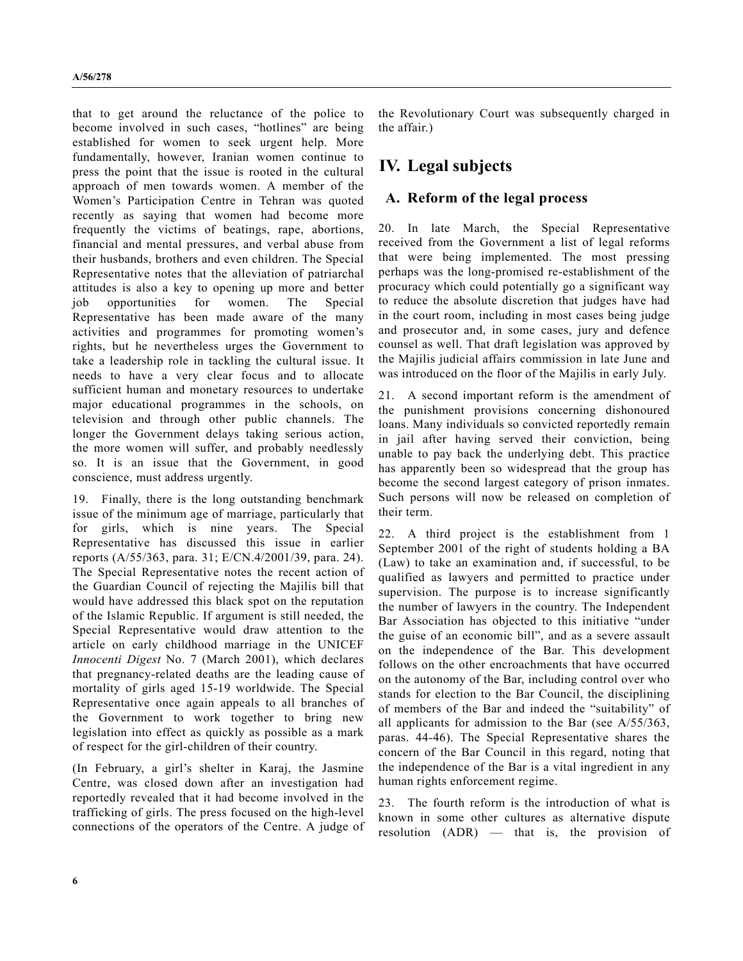that to get around the reluctance of the police to become involved in such cases, "hotlines" are being established for women to seek urgent help. More fundamentally, however, Iranian women continue to press the point that the issue is rooted in the cultural approach of men towards women. A member of the Women's Participation Centre in Tehran was quoted recently as saying that women had become more frequently the victims of beatings, rape, abortions, financial and mental pressures, and verbal abuse from their husbands, brothers and even children. The Special Representative notes that the alleviation of patriarchal attitudes is also a key to opening up more and better job opportunities for women. The Special Representative has been made aware of the many activities and programmes for promoting women's rights, but he nevertheless urges the Government to take a leadership role in tackling the cultural issue. It needs to have a very clear focus and to allocate sufficient human and monetary resources to undertake major educational programmes in the schools, on television and through other public channels. The longer the Government delays taking serious action, the more women will suffer, and probably needlessly so. It is an issue that the Government, in good conscience, must address urgently.

19. Finally, there is the long outstanding benchmark issue of the minimum age of marriage, particularly that for girls, which is nine years. The Special Representative has discussed this issue in earlier reports (A/55/363, para. 31; E/CN.4/2001/39, para. 24). The Special Representative notes the recent action of the Guardian Council of rejecting the Majilis bill that would have addressed this black spot on the reputation of the Islamic Republic. If argument is still needed, the Special Representative would draw attention to the article on early childhood marriage in the UNICEF *Innocenti Digest* No. 7 (March 2001), which declares that pregnancy-related deaths are the leading cause of mortality of girls aged 15-19 worldwide. The Special Representative once again appeals to all branches of the Government to work together to bring new legislation into effect as quickly as possible as a mark of respect for the girl-children of their country.

(In February, a girl's shelter in Karaj, the Jasmine Centre, was closed down after an investigation had reportedly revealed that it had become involved in the trafficking of girls. The press focused on the high-level connections of the operators of the Centre. A judge of the Revolutionary Court was subsequently charged in the affair.)

# **IV. Legal subjects**

## **A. Reform of the legal process**

20. In late March, the Special Representative received from the Government a list of legal reforms that were being implemented. The most pressing perhaps was the long-promised re-establishment of the procuracy which could potentially go a significant way to reduce the absolute discretion that judges have had in the court room, including in most cases being judge and prosecutor and, in some cases, jury and defence counsel as well. That draft legislation was approved by the Majilis judicial affairs commission in late June and was introduced on the floor of the Majilis in early July.

21. A second important reform is the amendment of the punishment provisions concerning dishonoured loans. Many individuals so convicted reportedly remain in jail after having served their conviction, being unable to pay back the underlying debt. This practice has apparently been so widespread that the group has become the second largest category of prison inmates. Such persons will now be released on completion of their term.

22. A third project is the establishment from 1 September 2001 of the right of students holding a BA (Law) to take an examination and, if successful, to be qualified as lawyers and permitted to practice under supervision. The purpose is to increase significantly the number of lawyers in the country. The Independent Bar Association has objected to this initiative "under the guise of an economic bill", and as a severe assault on the independence of the Bar. This development follows on the other encroachments that have occurred on the autonomy of the Bar, including control over who stands for election to the Bar Council, the disciplining of members of the Bar and indeed the "suitability" of all applicants for admission to the Bar (see A/55/363, paras. 44-46). The Special Representative shares the concern of the Bar Council in this regard, noting that the independence of the Bar is a vital ingredient in any human rights enforcement regime.

23. The fourth reform is the introduction of what is known in some other cultures as alternative dispute resolution (ADR) — that is, the provision of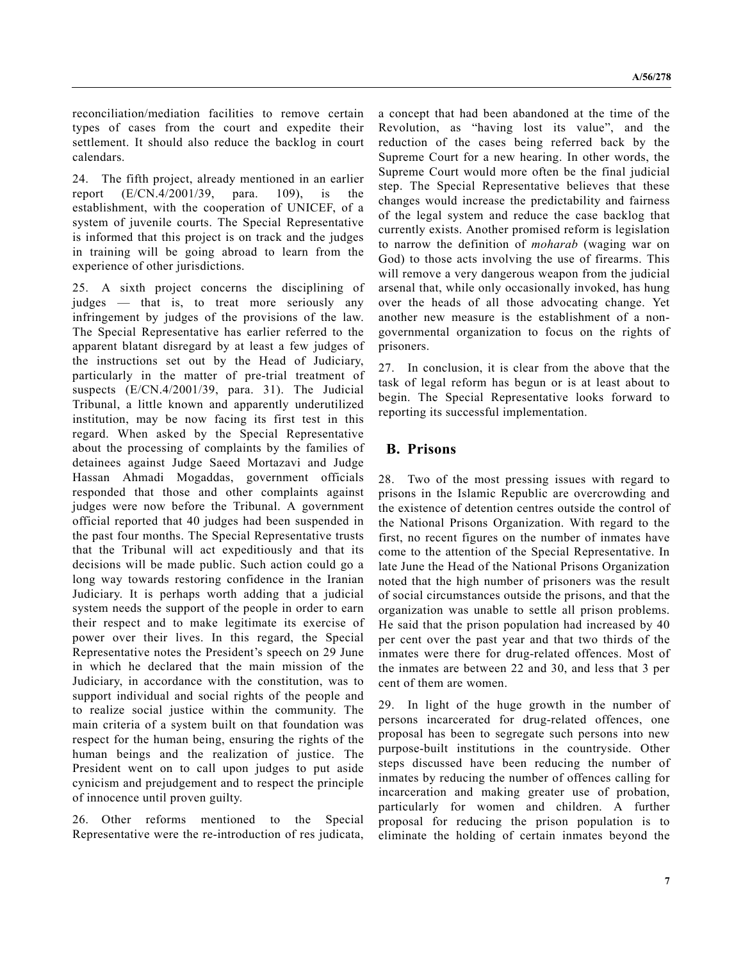reconciliation/mediation facilities to remove certain types of cases from the court and expedite their settlement. It should also reduce the backlog in court calendars.

24. The fifth project, already mentioned in an earlier report (E/CN.4/2001/39, para. 109), is the establishment, with the cooperation of UNICEF, of a system of juvenile courts. The Special Representative is informed that this project is on track and the judges in training will be going abroad to learn from the experience of other jurisdictions.

25. A sixth project concerns the disciplining of judges — that is, to treat more seriously any infringement by judges of the provisions of the law. The Special Representative has earlier referred to the apparent blatant disregard by at least a few judges of the instructions set out by the Head of Judiciary, particularly in the matter of pre-trial treatment of suspects (E/CN.4/2001/39, para. 31). The Judicial Tribunal, a little known and apparently underutilized institution, may be now facing its first test in this regard. When asked by the Special Representative about the processing of complaints by the families of detainees against Judge Saeed Mortazavi and Judge Hassan Ahmadi Mogaddas, government officials responded that those and other complaints against judges were now before the Tribunal. A government official reported that 40 judges had been suspended in the past four months. The Special Representative trusts that the Tribunal will act expeditiously and that its decisions will be made public. Such action could go a long way towards restoring confidence in the Iranian Judiciary. It is perhaps worth adding that a judicial system needs the support of the people in order to earn their respect and to make legitimate its exercise of power over their lives. In this regard, the Special Representative notes the President's speech on 29 June in which he declared that the main mission of the Judiciary, in accordance with the constitution, was to support individual and social rights of the people and to realize social justice within the community. The main criteria of a system built on that foundation was respect for the human being, ensuring the rights of the human beings and the realization of justice. The President went on to call upon judges to put aside cynicism and prejudgement and to respect the principle of innocence until proven guilty.

26. Other reforms mentioned to the Special Representative were the re-introduction of res judicata,

a concept that had been abandoned at the time of the Revolution, as "having lost its value", and the reduction of the cases being referred back by the Supreme Court for a new hearing. In other words, the Supreme Court would more often be the final judicial step. The Special Representative believes that these changes would increase the predictability and fairness of the legal system and reduce the case backlog that currently exists. Another promised reform is legislation to narrow the definition of *moharab* (waging war on God) to those acts involving the use of firearms. This will remove a very dangerous weapon from the judicial arsenal that, while only occasionally invoked, has hung over the heads of all those advocating change. Yet another new measure is the establishment of a nongovernmental organization to focus on the rights of prisoners.

27. In conclusion, it is clear from the above that the task of legal reform has begun or is at least about to begin. The Special Representative looks forward to reporting its successful implementation.

### **B. Prisons**

28. Two of the most pressing issues with regard to prisons in the Islamic Republic are overcrowding and the existence of detention centres outside the control of the National Prisons Organization. With regard to the first, no recent figures on the number of inmates have come to the attention of the Special Representative. In late June the Head of the National Prisons Organization noted that the high number of prisoners was the result of social circumstances outside the prisons, and that the organization was unable to settle all prison problems. He said that the prison population had increased by 40 per cent over the past year and that two thirds of the inmates were there for drug-related offences. Most of the inmates are between 22 and 30, and less that 3 per cent of them are women.

29. In light of the huge growth in the number of persons incarcerated for drug-related offences, one proposal has been to segregate such persons into new purpose-built institutions in the countryside. Other steps discussed have been reducing the number of inmates by reducing the number of offences calling for incarceration and making greater use of probation, particularly for women and children. A further proposal for reducing the prison population is to eliminate the holding of certain inmates beyond the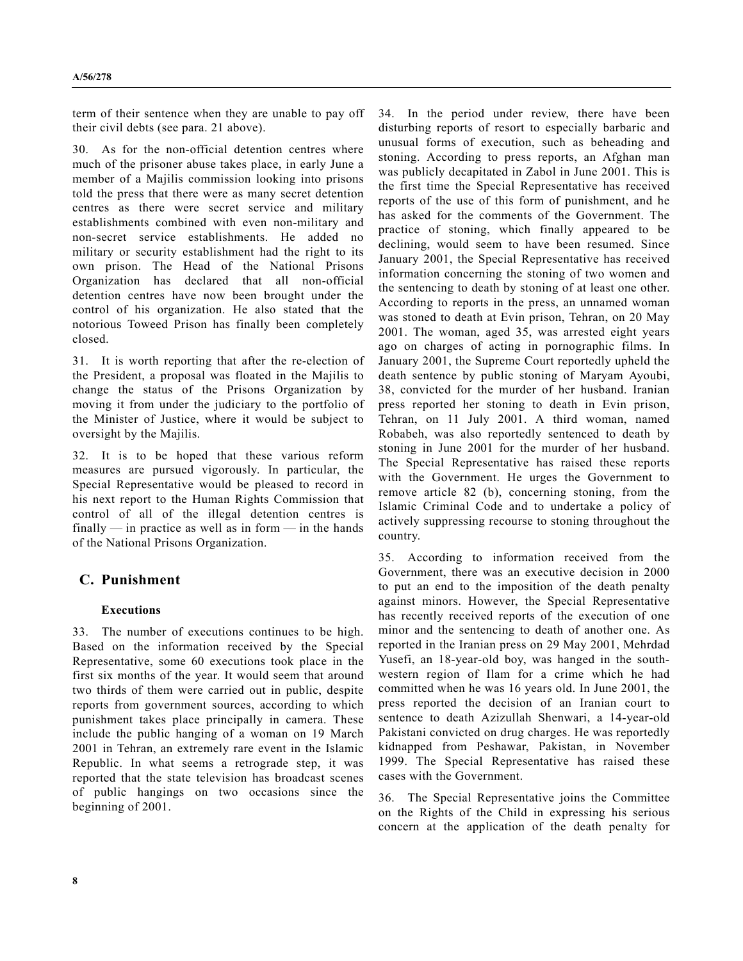term of their sentence when they are unable to pay off their civil debts (see para. 21 above).

30. As for the non-official detention centres where much of the prisoner abuse takes place, in early June a member of a Majilis commission looking into prisons told the press that there were as many secret detention centres as there were secret service and military establishments combined with even non-military and non-secret service establishments. He added no military or security establishment had the right to its own prison. The Head of the National Prisons Organization has declared that all non-official detention centres have now been brought under the control of his organization. He also stated that the notorious Toweed Prison has finally been completely closed.

31. It is worth reporting that after the re-election of the President, a proposal was floated in the Majilis to change the status of the Prisons Organization by moving it from under the judiciary to the portfolio of the Minister of Justice, where it would be subject to oversight by the Majilis.

32. It is to be hoped that these various reform measures are pursued vigorously. In particular, the Special Representative would be pleased to record in his next report to the Human Rights Commission that control of all of the illegal detention centres is finally — in practice as well as in form — in the hands of the National Prisons Organization.

### **C. Punishment**

#### **Executions**

33. The number of executions continues to be high. Based on the information received by the Special Representative, some 60 executions took place in the first six months of the year. It would seem that around two thirds of them were carried out in public, despite reports from government sources, according to which punishment takes place principally in camera. These include the public hanging of a woman on 19 March 2001 in Tehran, an extremely rare event in the Islamic Republic. In what seems a retrograde step, it was reported that the state television has broadcast scenes of public hangings on two occasions since the beginning of 2001.

34. In the period under review, there have been disturbing reports of resort to especially barbaric and unusual forms of execution, such as beheading and stoning. According to press reports, an Afghan man was publicly decapitated in Zabol in June 2001. This is the first time the Special Representative has received reports of the use of this form of punishment, and he has asked for the comments of the Government. The practice of stoning, which finally appeared to be declining, would seem to have been resumed. Since January 2001, the Special Representative has received information concerning the stoning of two women and the sentencing to death by stoning of at least one other. According to reports in the press, an unnamed woman was stoned to death at Evin prison, Tehran, on 20 May 2001. The woman, aged 35, was arrested eight years ago on charges of acting in pornographic films. In January 2001, the Supreme Court reportedly upheld the death sentence by public stoning of Maryam Ayoubi, 38, convicted for the murder of her husband. Iranian press reported her stoning to death in Evin prison, Tehran, on 11 July 2001. A third woman, named Robabeh, was also reportedly sentenced to death by stoning in June 2001 for the murder of her husband. The Special Representative has raised these reports with the Government. He urges the Government to remove article 82 (b), concerning stoning, from the Islamic Criminal Code and to undertake a policy of actively suppressing recourse to stoning throughout the country.

35. According to information received from the Government, there was an executive decision in 2000 to put an end to the imposition of the death penalty against minors. However, the Special Representative has recently received reports of the execution of one minor and the sentencing to death of another one. As reported in the Iranian press on 29 May 2001, Mehrdad Yusefi, an 18-year-old boy, was hanged in the southwestern region of Ilam for a crime which he had committed when he was 16 years old. In June 2001, the press reported the decision of an Iranian court to sentence to death Azizullah Shenwari, a 14-year-old Pakistani convicted on drug charges. He was reportedly kidnapped from Peshawar, Pakistan, in November 1999. The Special Representative has raised these cases with the Government.

36. The Special Representative joins the Committee on the Rights of the Child in expressing his serious concern at the application of the death penalty for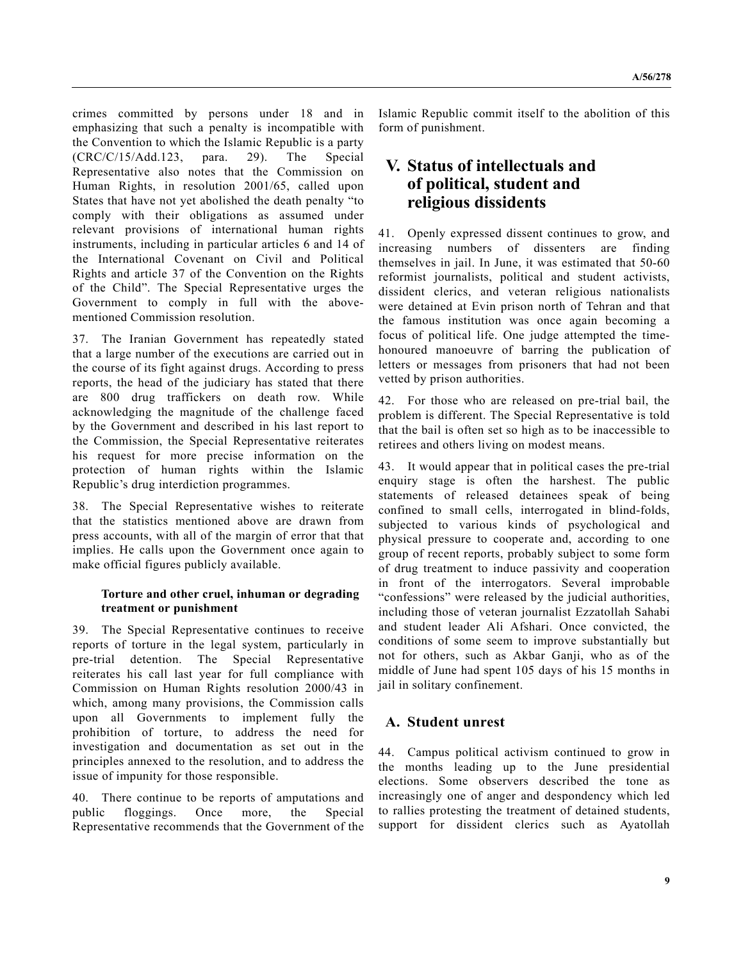crimes committed by persons under 18 and in emphasizing that such a penalty is incompatible with the Convention to which the Islamic Republic is a party (CRC/C/15/Add.123, para. 29). The Special Representative also notes that the Commission on Human Rights, in resolution 2001/65, called upon States that have not yet abolished the death penalty "to comply with their obligations as assumed under relevant provisions of international human rights instruments, including in particular articles 6 and 14 of the International Covenant on Civil and Political Rights and article 37 of the Convention on the Rights of the Child". The Special Representative urges the Government to comply in full with the abovementioned Commission resolution.

37. The Iranian Government has repeatedly stated that a large number of the executions are carried out in the course of its fight against drugs. According to press reports, the head of the judiciary has stated that there are 800 drug traffickers on death row. While acknowledging the magnitude of the challenge faced by the Government and described in his last report to the Commission, the Special Representative reiterates his request for more precise information on the protection of human rights within the Islamic Republic's drug interdiction programmes.

38. The Special Representative wishes to reiterate that the statistics mentioned above are drawn from press accounts, with all of the margin of error that that implies. He calls upon the Government once again to make official figures publicly available.

### **Torture and other cruel, inhuman or degrading treatment or punishment**

39. The Special Representative continues to receive reports of torture in the legal system, particularly in pre-trial detention. The Special Representative reiterates his call last year for full compliance with Commission on Human Rights resolution 2000/43 in which, among many provisions, the Commission calls upon all Governments to implement fully the prohibition of torture, to address the need for investigation and documentation as set out in the principles annexed to the resolution, and to address the issue of impunity for those responsible.

40. There continue to be reports of amputations and public floggings. Once more, the Special Representative recommends that the Government of the Islamic Republic commit itself to the abolition of this form of punishment.

## **V. Status of intellectuals and of political, student and religious dissidents**

41. Openly expressed dissent continues to grow, and increasing numbers of dissenters are finding themselves in jail. In June, it was estimated that 50-60 reformist journalists, political and student activists, dissident clerics, and veteran religious nationalists were detained at Evin prison north of Tehran and that the famous institution was once again becoming a focus of political life. One judge attempted the timehonoured manoeuvre of barring the publication of letters or messages from prisoners that had not been vetted by prison authorities.

42. For those who are released on pre-trial bail, the problem is different. The Special Representative is told that the bail is often set so high as to be inaccessible to retirees and others living on modest means.

43. It would appear that in political cases the pre-trial enquiry stage is often the harshest. The public statements of released detainees speak of being confined to small cells, interrogated in blind-folds, subjected to various kinds of psychological and physical pressure to cooperate and, according to one group of recent reports, probably subject to some form of drug treatment to induce passivity and cooperation in front of the interrogators. Several improbable "confessions" were released by the judicial authorities, including those of veteran journalist Ezzatollah Sahabi and student leader Ali Afshari. Once convicted, the conditions of some seem to improve substantially but not for others, such as Akbar Ganji, who as of the middle of June had spent 105 days of his 15 months in jail in solitary confinement.

### **A. Student unrest**

44. Campus political activism continued to grow in the months leading up to the June presidential elections. Some observers described the tone as increasingly one of anger and despondency which led to rallies protesting the treatment of detained students, support for dissident clerics such as Ayatollah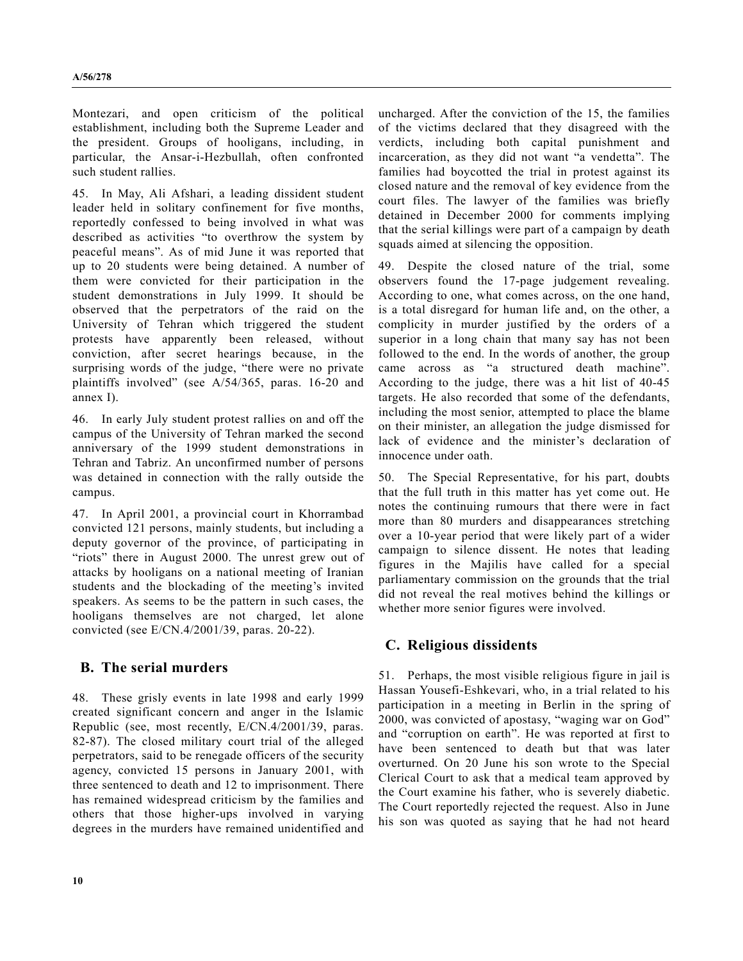Montezari, and open criticism of the political establishment, including both the Supreme Leader and the president. Groups of hooligans, including, in particular, the Ansar-i-Hezbullah, often confronted such student rallies.

45. In May, Ali Afshari, a leading dissident student leader held in solitary confinement for five months, reportedly confessed to being involved in what was described as activities "to overthrow the system by peaceful means". As of mid June it was reported that up to 20 students were being detained. A number of them were convicted for their participation in the student demonstrations in July 1999. It should be observed that the perpetrators of the raid on the University of Tehran which triggered the student protests have apparently been released, without conviction, after secret hearings because, in the surprising words of the judge, "there were no private plaintiffs involved" (see A/54/365, paras. 16-20 and annex I).

46. In early July student protest rallies on and off the campus of the University of Tehran marked the second anniversary of the 1999 student demonstrations in Tehran and Tabriz. An unconfirmed number of persons was detained in connection with the rally outside the campus.

47. In April 2001, a provincial court in Khorrambad convicted 121 persons, mainly students, but including a deputy governor of the province, of participating in "riots" there in August 2000. The unrest grew out of attacks by hooligans on a national meeting of Iranian students and the blockading of the meeting's invited speakers. As seems to be the pattern in such cases, the hooligans themselves are not charged, let alone convicted (see E/CN.4/2001/39, paras. 20-22).

## **B. The serial murders**

48. These grisly events in late 1998 and early 1999 created significant concern and anger in the Islamic Republic (see, most recently, E/CN.4/2001/39, paras. 82-87). The closed military court trial of the alleged perpetrators, said to be renegade officers of the security agency, convicted 15 persons in January 2001, with three sentenced to death and 12 to imprisonment. There has remained widespread criticism by the families and others that those higher-ups involved in varying degrees in the murders have remained unidentified and uncharged. After the conviction of the 15, the families of the victims declared that they disagreed with the verdicts, including both capital punishment and incarceration, as they did not want "a vendetta". The families had boycotted the trial in protest against its closed nature and the removal of key evidence from the court files. The lawyer of the families was briefly detained in December 2000 for comments implying that the serial killings were part of a campaign by death squads aimed at silencing the opposition.

49. Despite the closed nature of the trial, some observers found the 17-page judgement revealing. According to one, what comes across, on the one hand, is a total disregard for human life and, on the other, a complicity in murder justified by the orders of a superior in a long chain that many say has not been followed to the end. In the words of another, the group came across as "a structured death machine". According to the judge, there was a hit list of 40-45 targets. He also recorded that some of the defendants, including the most senior, attempted to place the blame on their minister, an allegation the judge dismissed for lack of evidence and the minister's declaration of innocence under oath.

50. The Special Representative, for his part, doubts that the full truth in this matter has yet come out. He notes the continuing rumours that there were in fact more than 80 murders and disappearances stretching over a 10-year period that were likely part of a wider campaign to silence dissent. He notes that leading figures in the Majilis have called for a special parliamentary commission on the grounds that the trial did not reveal the real motives behind the killings or whether more senior figures were involved.

## **C. Religious dissidents**

51. Perhaps, the most visible religious figure in jail is Hassan Yousefi-Eshkevari, who, in a trial related to his participation in a meeting in Berlin in the spring of 2000, was convicted of apostasy, "waging war on God" and "corruption on earth". He was reported at first to have been sentenced to death but that was later overturned. On 20 June his son wrote to the Special Clerical Court to ask that a medical team approved by the Court examine his father, who is severely diabetic. The Court reportedly rejected the request. Also in June his son was quoted as saying that he had not heard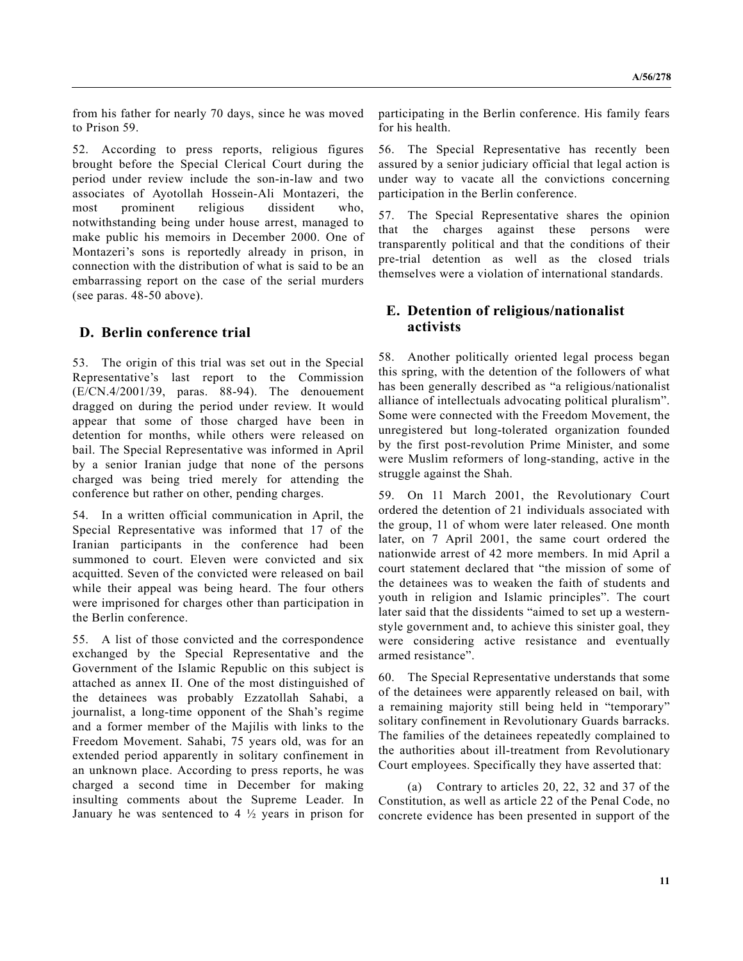from his father for nearly 70 days, since he was moved to Prison 59.

52. According to press reports, religious figures brought before the Special Clerical Court during the period under review include the son-in-law and two associates of Ayotollah Hossein-Ali Montazeri, the most prominent religious dissident who, notwithstanding being under house arrest, managed to make public his memoirs in December 2000. One of Montazeri's sons is reportedly already in prison, in connection with the distribution of what is said to be an embarrassing report on the case of the serial murders (see paras. 48-50 above).

### **D. Berlin conference trial**

53. The origin of this trial was set out in the Special Representative's last report to the Commission (E/CN.4/2001/39, paras. 88-94). The denouement dragged on during the period under review. It would appear that some of those charged have been in detention for months, while others were released on bail. The Special Representative was informed in April by a senior Iranian judge that none of the persons charged was being tried merely for attending the conference but rather on other, pending charges.

54. In a written official communication in April, the Special Representative was informed that 17 of the Iranian participants in the conference had been summoned to court. Eleven were convicted and six acquitted. Seven of the convicted were released on bail while their appeal was being heard. The four others were imprisoned for charges other than participation in the Berlin conference.

55. A list of those convicted and the correspondence exchanged by the Special Representative and the Government of the Islamic Republic on this subject is attached as annex II. One of the most distinguished of the detainees was probably Ezzatollah Sahabi, a journalist, a long-time opponent of the Shah's regime and a former member of the Majilis with links to the Freedom Movement. Sahabi, 75 years old, was for an extended period apparently in solitary confinement in an unknown place. According to press reports, he was charged a second time in December for making insulting comments about the Supreme Leader. In January he was sentenced to  $4\frac{1}{2}$  years in prison for

participating in the Berlin conference. His family fears for his health.

56. The Special Representative has recently been assured by a senior judiciary official that legal action is under way to vacate all the convictions concerning participation in the Berlin conference.

57. The Special Representative shares the opinion that the charges against these persons were transparently political and that the conditions of their pre-trial detention as well as the closed trials themselves were a violation of international standards.

### **E. Detention of religious/nationalist activists**

58. Another politically oriented legal process began this spring, with the detention of the followers of what has been generally described as "a religious/nationalist alliance of intellectuals advocating political pluralism". Some were connected with the Freedom Movement, the unregistered but long-tolerated organization founded by the first post-revolution Prime Minister, and some were Muslim reformers of long-standing, active in the struggle against the Shah.

59. On 11 March 2001, the Revolutionary Court ordered the detention of 21 individuals associated with the group, 11 of whom were later released. One month later, on 7 April 2001, the same court ordered the nationwide arrest of 42 more members. In mid April a court statement declared that "the mission of some of the detainees was to weaken the faith of students and youth in religion and Islamic principles". The court later said that the dissidents "aimed to set up a westernstyle government and, to achieve this sinister goal, they were considering active resistance and eventually armed resistance".

60. The Special Representative understands that some of the detainees were apparently released on bail, with a remaining majority still being held in "temporary" solitary confinement in Revolutionary Guards barracks. The families of the detainees repeatedly complained to the authorities about ill-treatment from Revolutionary Court employees. Specifically they have asserted that:

(a) Contrary to articles 20, 22, 32 and 37 of the Constitution, as well as article 22 of the Penal Code, no concrete evidence has been presented in support of the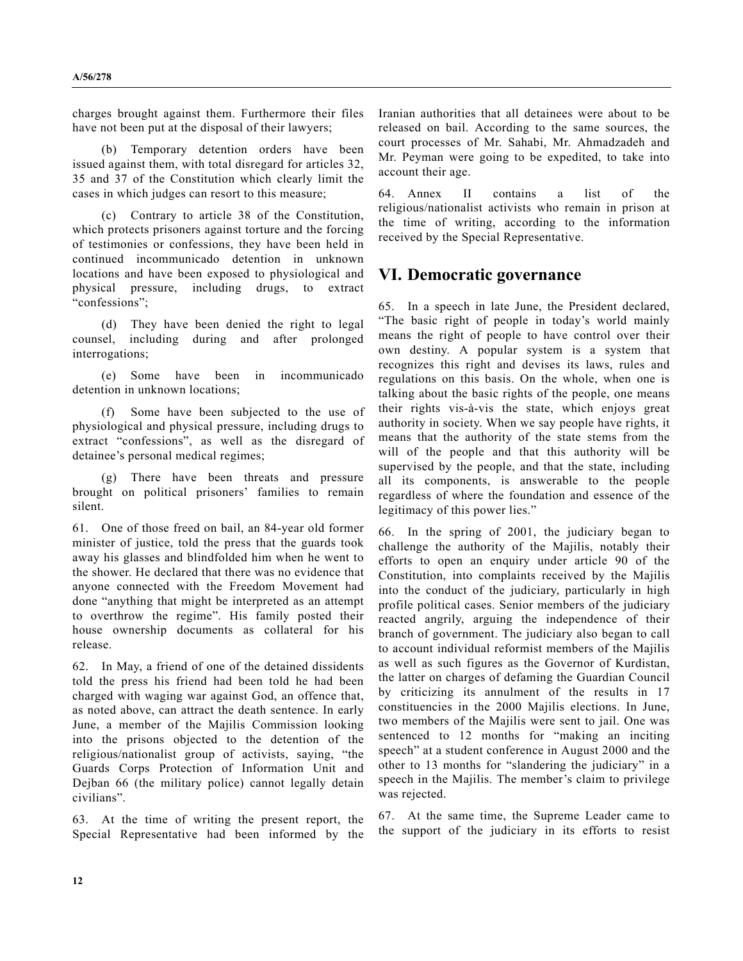charges brought against them. Furthermore their files have not been put at the disposal of their lawyers;

(b) Temporary detention orders have been issued against them, with total disregard for articles 32, 35 and 37 of the Constitution which clearly limit the cases in which judges can resort to this measure;

(c) Contrary to article 38 of the Constitution, which protects prisoners against torture and the forcing of testimonies or confessions, they have been held in continued incommunicado detention in unknown locations and have been exposed to physiological and physical pressure, including drugs, to extract "confessions";

(d) They have been denied the right to legal counsel, including during and after prolonged interrogations;

(e) Some have been in incommunicado detention in unknown locations;

(f) Some have been subjected to the use of physiological and physical pressure, including drugs to extract "confessions", as well as the disregard of detainee's personal medical regimes;

(g) There have been threats and pressure brought on political prisoners' families to remain silent.

61. One of those freed on bail, an 84-year old former minister of justice, told the press that the guards took away his glasses and blindfolded him when he went to the shower. He declared that there was no evidence that anyone connected with the Freedom Movement had done "anything that might be interpreted as an attempt to overthrow the regime". His family posted their house ownership documents as collateral for his release.

62. In May, a friend of one of the detained dissidents told the press his friend had been told he had been charged with waging war against God, an offence that, as noted above, can attract the death sentence. In early June, a member of the Majilis Commission looking into the prisons objected to the detention of the religious/nationalist group of activists, saying, "the Guards Corps Protection of Information Unit and Dejban 66 (the military police) cannot legally detain civilians".

63. At the time of writing the present report, the Special Representative had been informed by the Iranian authorities that all detainees were about to be released on bail. According to the same sources, the court processes of Mr. Sahabi, Mr. Ahmadzadeh and Mr. Peyman were going to be expedited, to take into account their age.

64. Annex II contains a list of the religious/nationalist activists who remain in prison at the time of writing, according to the information received by the Special Representative.

## **VI. Democratic governance**

65. In a speech in late June, the President declared, "The basic right of people in today's world mainly means the right of people to have control over their own destiny. A popular system is a system that recognizes this right and devises its laws, rules and regulations on this basis. On the whole, when one is talking about the basic rights of the people, one means their rights vis-à-vis the state, which enjoys great authority in society. When we say people have rights, it means that the authority of the state stems from the will of the people and that this authority will be supervised by the people, and that the state, including all its components, is answerable to the people regardless of where the foundation and essence of the legitimacy of this power lies."

66. In the spring of 2001, the judiciary began to challenge the authority of the Majilis, notably their efforts to open an enquiry under article 90 of the Constitution, into complaints received by the Majilis into the conduct of the judiciary, particularly in high profile political cases. Senior members of the judiciary reacted angrily, arguing the independence of their branch of government. The judiciary also began to call to account individual reformist members of the Majilis as well as such figures as the Governor of Kurdistan, the latter on charges of defaming the Guardian Council by criticizing its annulment of the results in 17 constituencies in the 2000 Majilis elections. In June, two members of the Majilis were sent to jail. One was sentenced to 12 months for "making an inciting speech" at a student conference in August 2000 and the other to 13 months for "slandering the judiciary" in a speech in the Majilis. The member's claim to privilege was rejected.

67. At the same time, the Supreme Leader came to the support of the judiciary in its efforts to resist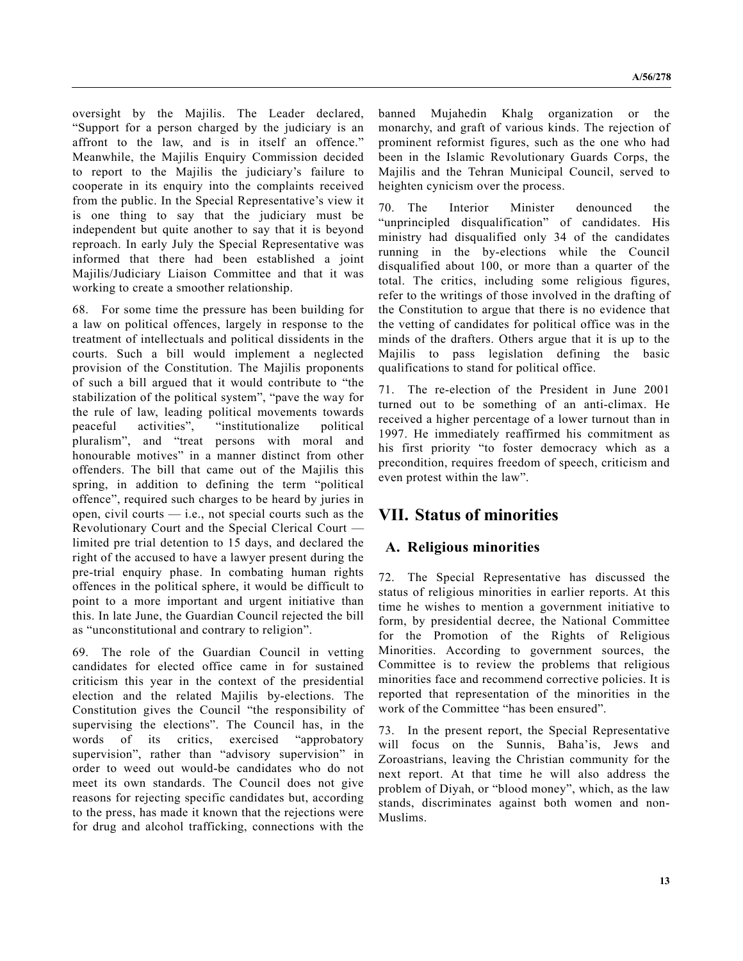oversight by the Majilis. The Leader declared, "Support for a person charged by the judiciary is an affront to the law, and is in itself an offence." Meanwhile, the Majilis Enquiry Commission decided to report to the Majilis the judiciary's failure to cooperate in its enquiry into the complaints received from the public. In the Special Representative's view it is one thing to say that the judiciary must be independent but quite another to say that it is beyond reproach. In early July the Special Representative was informed that there had been established a joint Majilis/Judiciary Liaison Committee and that it was working to create a smoother relationship.

68. For some time the pressure has been building for a law on political offences, largely in response to the treatment of intellectuals and political dissidents in the courts. Such a bill would implement a neglected provision of the Constitution. The Majilis proponents of such a bill argued that it would contribute to "the stabilization of the political system", "pave the way for the rule of law, leading political movements towards peaceful activities", "institutionalize political pluralism", and "treat persons with moral and honourable motives" in a manner distinct from other offenders. The bill that came out of the Majilis this spring, in addition to defining the term "political offence", required such charges to be heard by juries in open, civil courts — i.e., not special courts such as the Revolutionary Court and the Special Clerical Court limited pre trial detention to 15 days, and declared the right of the accused to have a lawyer present during the pre-trial enquiry phase. In combating human rights offences in the political sphere, it would be difficult to point to a more important and urgent initiative than this. In late June, the Guardian Council rejected the bill as "unconstitutional and contrary to religion".

69. The role of the Guardian Council in vetting candidates for elected office came in for sustained criticism this year in the context of the presidential election and the related Majilis by-elections. The Constitution gives the Council "the responsibility of supervising the elections". The Council has, in the words of its critics, exercised "approbatory supervision", rather than "advisory supervision" in order to weed out would-be candidates who do not meet its own standards. The Council does not give reasons for rejecting specific candidates but, according to the press, has made it known that the rejections were for drug and alcohol trafficking, connections with the

banned Mujahedin Khalg organization or the monarchy, and graft of various kinds. The rejection of prominent reformist figures, such as the one who had been in the Islamic Revolutionary Guards Corps, the Majilis and the Tehran Municipal Council, served to heighten cynicism over the process.

70. The Interior Minister denounced the "unprincipled disqualification" of candidates. His ministry had disqualified only 34 of the candidates running in the by-elections while the Council disqualified about 100, or more than a quarter of the total. The critics, including some religious figures, refer to the writings of those involved in the drafting of the Constitution to argue that there is no evidence that the vetting of candidates for political office was in the minds of the drafters. Others argue that it is up to the Majilis to pass legislation defining the basic qualifications to stand for political office.

71. The re-election of the President in June 2001 turned out to be something of an anti-climax. He received a higher percentage of a lower turnout than in 1997. He immediately reaffirmed his commitment as his first priority "to foster democracy which as a precondition, requires freedom of speech, criticism and even protest within the law".

## **VII. Status of minorities**

## **A. Religious minorities**

72. The Special Representative has discussed the status of religious minorities in earlier reports. At this time he wishes to mention a government initiative to form, by presidential decree, the National Committee for the Promotion of the Rights of Religious Minorities. According to government sources, the Committee is to review the problems that religious minorities face and recommend corrective policies. It is reported that representation of the minorities in the work of the Committee "has been ensured".

73. In the present report, the Special Representative will focus on the Sunnis, Baha'is, Jews and Zoroastrians, leaving the Christian community for the next report. At that time he will also address the problem of Diyah, or "blood money", which, as the law stands, discriminates against both women and non-Muslims.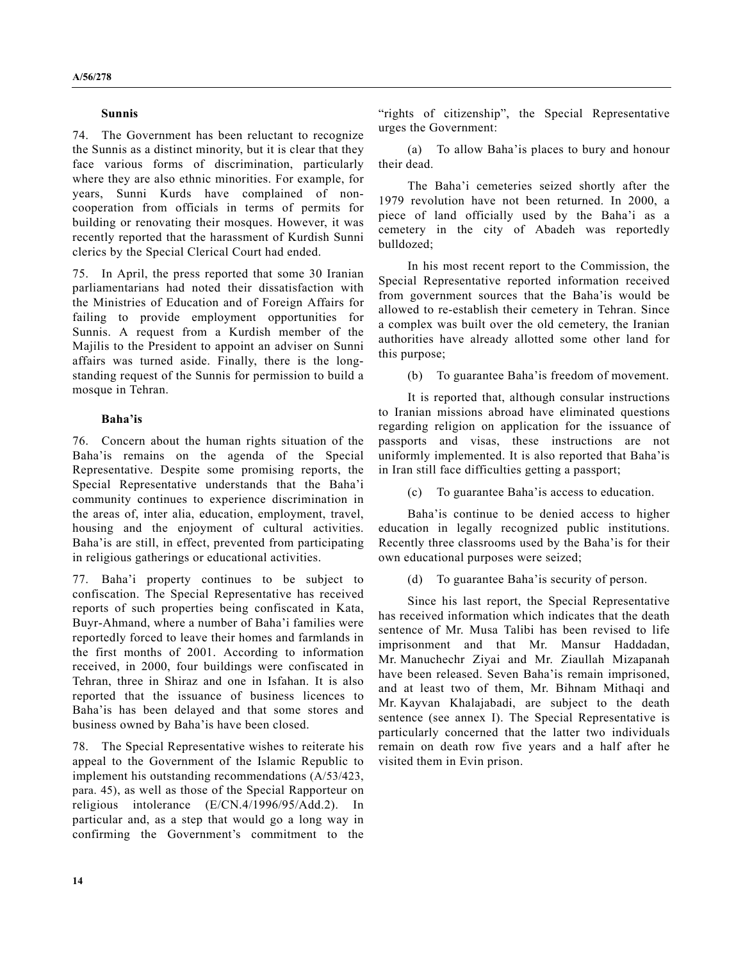### **Sunnis**

74. The Government has been reluctant to recognize the Sunnis as a distinct minority, but it is clear that they face various forms of discrimination, particularly where they are also ethnic minorities. For example, for years, Sunni Kurds have complained of noncooperation from officials in terms of permits for building or renovating their mosques. However, it was recently reported that the harassment of Kurdish Sunni clerics by the Special Clerical Court had ended.

75. In April, the press reported that some 30 Iranian parliamentarians had noted their dissatisfaction with the Ministries of Education and of Foreign Affairs for failing to provide employment opportunities for Sunnis. A request from a Kurdish member of the Majilis to the President to appoint an adviser on Sunni affairs was turned aside. Finally, there is the longstanding request of the Sunnis for permission to build a mosque in Tehran.

#### **Baha'is**

76. Concern about the human rights situation of the Baha'is remains on the agenda of the Special Representative. Despite some promising reports, the Special Representative understands that the Baha'i community continues to experience discrimination in the areas of, inter alia, education, employment, travel, housing and the enjoyment of cultural activities. Baha'is are still, in effect, prevented from participating in religious gatherings or educational activities.

77. Baha'i property continues to be subject to confiscation. The Special Representative has received reports of such properties being confiscated in Kata, Buyr-Ahmand, where a number of Baha'i families were reportedly forced to leave their homes and farmlands in the first months of 2001. According to information received, in 2000, four buildings were confiscated in Tehran, three in Shiraz and one in Isfahan. It is also reported that the issuance of business licences to Baha'is has been delayed and that some stores and business owned by Baha'is have been closed.

78. The Special Representative wishes to reiterate his appeal to the Government of the Islamic Republic to implement his outstanding recommendations (A/53/423, para. 45), as well as those of the Special Rapporteur on religious intolerance (E/CN.4/1996/95/Add.2). In particular and, as a step that would go a long way in confirming the Government's commitment to the

"rights of citizenship", the Special Representative urges the Government:

(a) To allow Baha'is places to bury and honour their dead.

The Baha'i cemeteries seized shortly after the 1979 revolution have not been returned. In 2000, a piece of land officially used by the Baha'i as a cemetery in the city of Abadeh was reportedly bulldozed;

In his most recent report to the Commission, the Special Representative reported information received from government sources that the Baha'is would be allowed to re-establish their cemetery in Tehran. Since a complex was built over the old cemetery, the Iranian authorities have already allotted some other land for this purpose;

(b) To guarantee Baha'is freedom of movement.

It is reported that, although consular instructions to Iranian missions abroad have eliminated questions regarding religion on application for the issuance of passports and visas, these instructions are not uniformly implemented. It is also reported that Baha'is in Iran still face difficulties getting a passport;

(c) To guarantee Baha'is access to education.

Baha'is continue to be denied access to higher education in legally recognized public institutions. Recently three classrooms used by the Baha'is for their own educational purposes were seized;

(d) To guarantee Baha'is security of person.

Since his last report, the Special Representative has received information which indicates that the death sentence of Mr. Musa Talibi has been revised to life imprisonment and that Mr. Mansur Haddadan, Mr. Manuchechr Ziyai and Mr. Ziaullah Mizapanah have been released. Seven Baha'is remain imprisoned, and at least two of them, Mr. Bihnam Mithaqi and Mr. Kayvan Khalajabadi, are subject to the death sentence (see annex I). The Special Representative is particularly concerned that the latter two individuals remain on death row five years and a half after he visited them in Evin prison.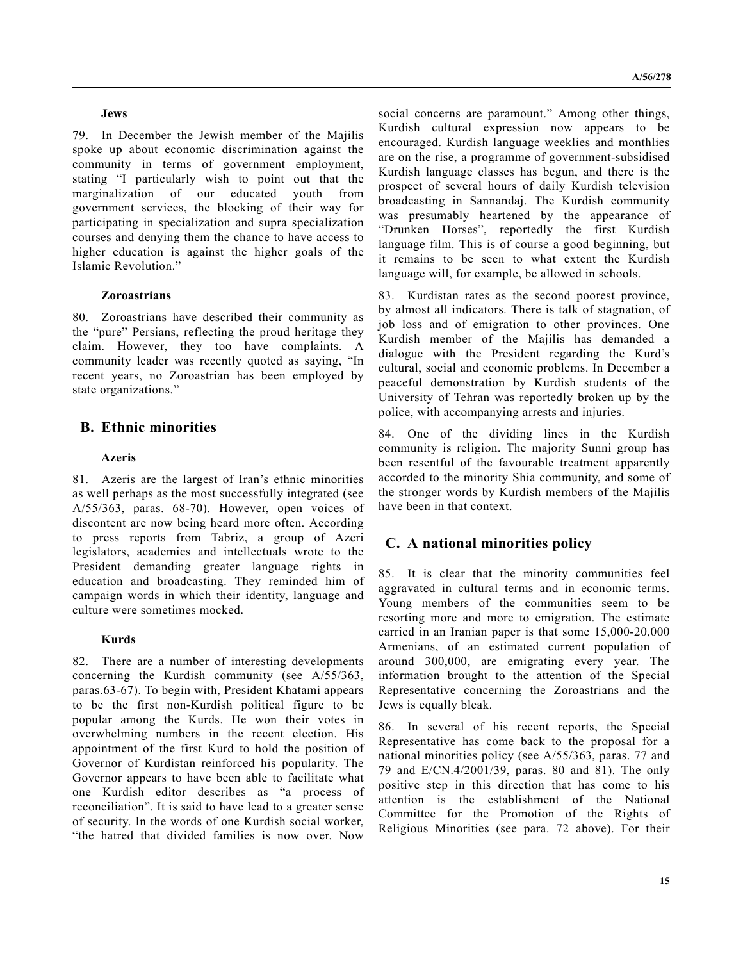#### **Jews**

79. In December the Jewish member of the Majilis spoke up about economic discrimination against the community in terms of government employment, stating "I particularly wish to point out that the marginalization of our educated youth from government services, the blocking of their way for participating in specialization and supra specialization courses and denying them the chance to have access to higher education is against the higher goals of the Islamic Revolution."

#### **Zoroastrians**

80. Zoroastrians have described their community as the "pure" Persians, reflecting the proud heritage they claim. However, they too have complaints. A community leader was recently quoted as saying, "In recent years, no Zoroastrian has been employed by state organizations."

### **B. Ethnic minorities**

#### **Azeris**

81. Azeris are the largest of Iran's ethnic minorities as well perhaps as the most successfully integrated (see A/55/363, paras. 68-70). However, open voices of discontent are now being heard more often. According to press reports from Tabriz, a group of Azeri legislators, academics and intellectuals wrote to the President demanding greater language rights in education and broadcasting. They reminded him of campaign words in which their identity, language and culture were sometimes mocked.

#### **Kurds**

82. There are a number of interesting developments concerning the Kurdish community (see A/55/363, paras.63-67). To begin with, President Khatami appears to be the first non-Kurdish political figure to be popular among the Kurds. He won their votes in overwhelming numbers in the recent election. His appointment of the first Kurd to hold the position of Governor of Kurdistan reinforced his popularity. The Governor appears to have been able to facilitate what one Kurdish editor describes as "a process of reconciliation". It is said to have lead to a greater sense of security. In the words of one Kurdish social worker, "the hatred that divided families is now over. Now

social concerns are paramount." Among other things, Kurdish cultural expression now appears to be encouraged. Kurdish language weeklies and monthlies are on the rise, a programme of government-subsidised Kurdish language classes has begun, and there is the prospect of several hours of daily Kurdish television broadcasting in Sannandaj. The Kurdish community was presumably heartened by the appearance of "Drunken Horses", reportedly the first Kurdish language film. This is of course a good beginning, but it remains to be seen to what extent the Kurdish language will, for example, be allowed in schools.

83. Kurdistan rates as the second poorest province, by almost all indicators. There is talk of stagnation, of job loss and of emigration to other provinces. One Kurdish member of the Majilis has demanded a dialogue with the President regarding the Kurd's cultural, social and economic problems. In December a peaceful demonstration by Kurdish students of the University of Tehran was reportedly broken up by the police, with accompanying arrests and injuries.

84. One of the dividing lines in the Kurdish community is religion. The majority Sunni group has been resentful of the favourable treatment apparently accorded to the minority Shia community, and some of the stronger words by Kurdish members of the Majilis have been in that context.

### **C. A national minorities policy**

85. It is clear that the minority communities feel aggravated in cultural terms and in economic terms. Young members of the communities seem to be resorting more and more to emigration. The estimate carried in an Iranian paper is that some 15,000-20,000 Armenians, of an estimated current population of around 300,000, are emigrating every year. The information brought to the attention of the Special Representative concerning the Zoroastrians and the Jews is equally bleak.

86. In several of his recent reports, the Special Representative has come back to the proposal for a national minorities policy (see A/55/363, paras. 77 and 79 and E/CN.4/2001/39, paras. 80 and 81). The only positive step in this direction that has come to his attention is the establishment of the National Committee for the Promotion of the Rights of Religious Minorities (see para. 72 above). For their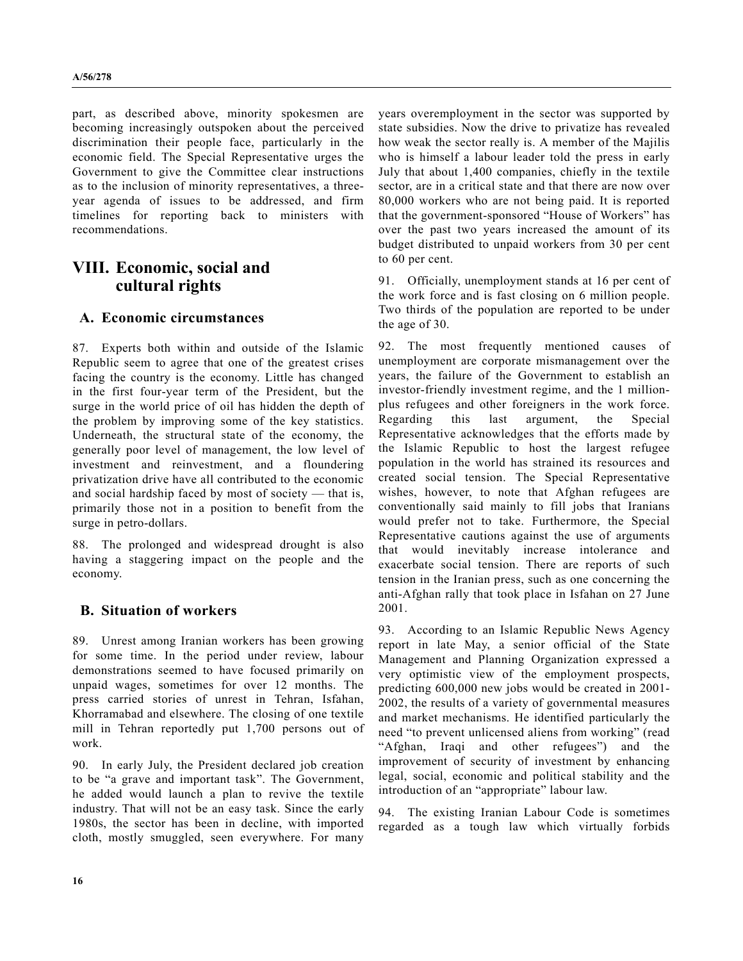part, as described above, minority spokesmen are becoming increasingly outspoken about the perceived discrimination their people face, particularly in the economic field. The Special Representative urges the Government to give the Committee clear instructions as to the inclusion of minority representatives, a threeyear agenda of issues to be addressed, and firm timelines for reporting back to ministers with recommendations.

## **VIII. Economic, social and cultural rights**

### **A. Economic circumstances**

87. Experts both within and outside of the Islamic Republic seem to agree that one of the greatest crises facing the country is the economy. Little has changed in the first four-year term of the President, but the surge in the world price of oil has hidden the depth of the problem by improving some of the key statistics. Underneath, the structural state of the economy, the generally poor level of management, the low level of investment and reinvestment, and a floundering privatization drive have all contributed to the economic and social hardship faced by most of society — that is, primarily those not in a position to benefit from the surge in petro-dollars.

88. The prolonged and widespread drought is also having a staggering impact on the people and the economy.

## **B. Situation of workers**

89. Unrest among Iranian workers has been growing for some time. In the period under review, labour demonstrations seemed to have focused primarily on unpaid wages, sometimes for over 12 months. The press carried stories of unrest in Tehran, Isfahan, Khorramabad and elsewhere. The closing of one textile mill in Tehran reportedly put 1,700 persons out of work.

90. In early July, the President declared job creation to be "a grave and important task". The Government, he added would launch a plan to revive the textile industry. That will not be an easy task. Since the early 1980s, the sector has been in decline, with imported cloth, mostly smuggled, seen everywhere. For many years overemployment in the sector was supported by state subsidies. Now the drive to privatize has revealed how weak the sector really is. A member of the Majilis who is himself a labour leader told the press in early July that about 1,400 companies, chiefly in the textile sector, are in a critical state and that there are now over 80,000 workers who are not being paid. It is reported that the government-sponsored "House of Workers" has over the past two years increased the amount of its budget distributed to unpaid workers from 30 per cent to 60 per cent.

91. Officially, unemployment stands at 16 per cent of the work force and is fast closing on 6 million people. Two thirds of the population are reported to be under the age of 30.

92. The most frequently mentioned causes of unemployment are corporate mismanagement over the years, the failure of the Government to establish an investor-friendly investment regime, and the 1 millionplus refugees and other foreigners in the work force. Regarding this last argument, the Special Representative acknowledges that the efforts made by the Islamic Republic to host the largest refugee population in the world has strained its resources and created social tension. The Special Representative wishes, however, to note that Afghan refugees are conventionally said mainly to fill jobs that Iranians would prefer not to take. Furthermore, the Special Representative cautions against the use of arguments that would inevitably increase intolerance and exacerbate social tension. There are reports of such tension in the Iranian press, such as one concerning the anti-Afghan rally that took place in Isfahan on 27 June 2001.

93. According to an Islamic Republic News Agency report in late May, a senior official of the State Management and Planning Organization expressed a very optimistic view of the employment prospects, predicting 600,000 new jobs would be created in 2001- 2002, the results of a variety of governmental measures and market mechanisms. He identified particularly the need "to prevent unlicensed aliens from working" (read "Afghan, Iraqi and other refugees") and the improvement of security of investment by enhancing legal, social, economic and political stability and the introduction of an "appropriate" labour law.

94. The existing Iranian Labour Code is sometimes regarded as a tough law which virtually forbids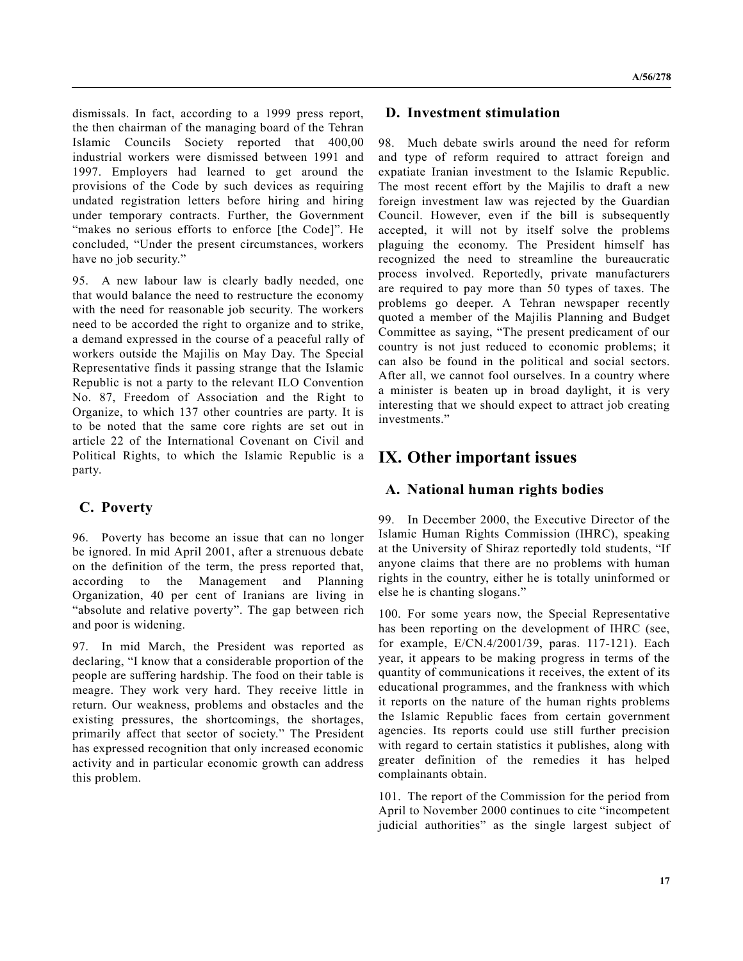dismissals. In fact, according to a 1999 press report, the then chairman of the managing board of the Tehran Islamic Councils Society reported that 400,00 industrial workers were dismissed between 1991 and 1997. Employers had learned to get around the provisions of the Code by such devices as requiring undated registration letters before hiring and hiring under temporary contracts. Further, the Government "makes no serious efforts to enforce [the Code]". He concluded, "Under the present circumstances, workers have no job security."

95. A new labour law is clearly badly needed, one that would balance the need to restructure the economy with the need for reasonable job security. The workers need to be accorded the right to organize and to strike, a demand expressed in the course of a peaceful rally of workers outside the Majilis on May Day. The Special Representative finds it passing strange that the Islamic Republic is not a party to the relevant ILO Convention No. 87, Freedom of Association and the Right to Organize, to which 137 other countries are party. It is to be noted that the same core rights are set out in article 22 of the International Covenant on Civil and Political Rights, to which the Islamic Republic is a party.

## **C. Poverty**

96. Poverty has become an issue that can no longer be ignored. In mid April 2001, after a strenuous debate on the definition of the term, the press reported that, according to the Management and Planning Organization, 40 per cent of Iranians are living in "absolute and relative poverty". The gap between rich and poor is widening.

97. In mid March, the President was reported as declaring, "I know that a considerable proportion of the people are suffering hardship. The food on their table is meagre. They work very hard. They receive little in return. Our weakness, problems and obstacles and the existing pressures, the shortcomings, the shortages, primarily affect that sector of society." The President has expressed recognition that only increased economic activity and in particular economic growth can address this problem.

### **D. Investment stimulation**

98. Much debate swirls around the need for reform and type of reform required to attract foreign and expatiate Iranian investment to the Islamic Republic. The most recent effort by the Majilis to draft a new foreign investment law was rejected by the Guardian Council. However, even if the bill is subsequently accepted, it will not by itself solve the problems plaguing the economy. The President himself has recognized the need to streamline the bureaucratic process involved. Reportedly, private manufacturers are required to pay more than 50 types of taxes. The problems go deeper. A Tehran newspaper recently quoted a member of the Majilis Planning and Budget Committee as saying, "The present predicament of our country is not just reduced to economic problems; it can also be found in the political and social sectors. After all, we cannot fool ourselves. In a country where a minister is beaten up in broad daylight, it is very interesting that we should expect to attract job creating investments."

## **IX. Other important issues**

### **A. National human rights bodies**

99. In December 2000, the Executive Director of the Islamic Human Rights Commission (IHRC), speaking at the University of Shiraz reportedly told students, "If anyone claims that there are no problems with human rights in the country, either he is totally uninformed or else he is chanting slogans."

100. For some years now, the Special Representative has been reporting on the development of IHRC (see, for example, E/CN.4/2001/39, paras. 117-121). Each year, it appears to be making progress in terms of the quantity of communications it receives, the extent of its educational programmes, and the frankness with which it reports on the nature of the human rights problems the Islamic Republic faces from certain government agencies. Its reports could use still further precision with regard to certain statistics it publishes, along with greater definition of the remedies it has helped complainants obtain.

101. The report of the Commission for the period from April to November 2000 continues to cite "incompetent judicial authorities" as the single largest subject of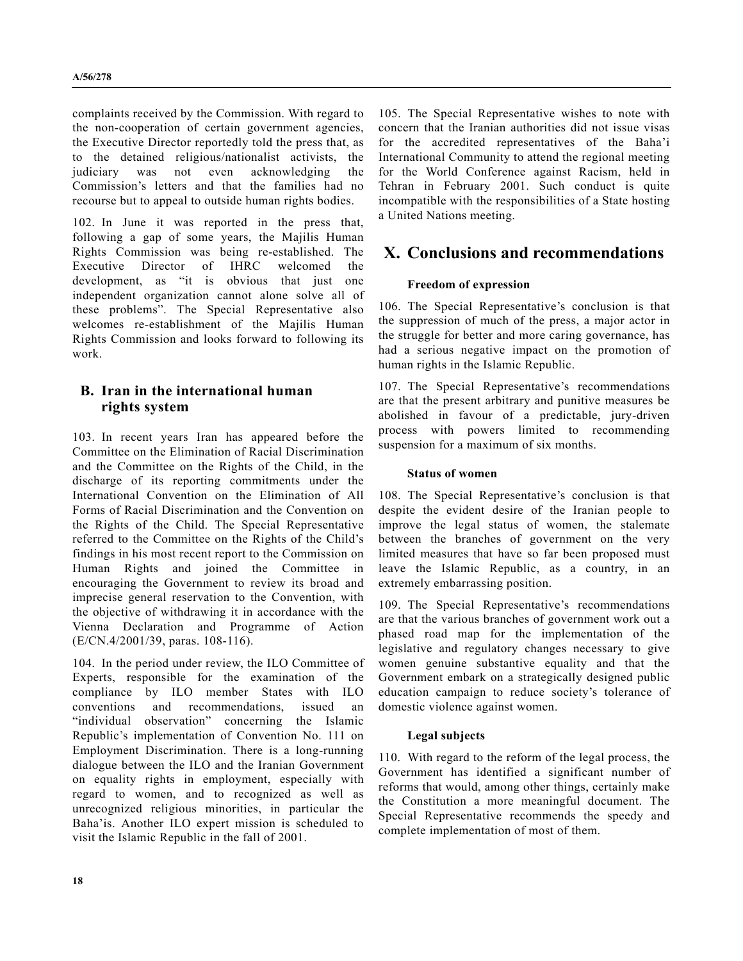complaints received by the Commission. With regard to the non-cooperation of certain government agencies, the Executive Director reportedly told the press that, as to the detained religious/nationalist activists, the judiciary was not even acknowledging the Commission's letters and that the families had no recourse but to appeal to outside human rights bodies.

102. In June it was reported in the press that, following a gap of some years, the Majilis Human Rights Commission was being re-established. The Executive Director of IHRC welcomed the development, as "it is obvious that just one independent organization cannot alone solve all of these problems". The Special Representative also welcomes re-establishment of the Majilis Human Rights Commission and looks forward to following its work.

## **B. Iran in the international human rights system**

103. In recent years Iran has appeared before the Committee on the Elimination of Racial Discrimination and the Committee on the Rights of the Child, in the discharge of its reporting commitments under the International Convention on the Elimination of All Forms of Racial Discrimination and the Convention on the Rights of the Child. The Special Representative referred to the Committee on the Rights of the Child's findings in his most recent report to the Commission on Human Rights and joined the Committee in encouraging the Government to review its broad and imprecise general reservation to the Convention, with the objective of withdrawing it in accordance with the Vienna Declaration and Programme of Action (E/CN.4/2001/39, paras. 108-116).

104. In the period under review, the ILO Committee of Experts, responsible for the examination of the compliance by ILO member States with ILO conventions and recommendations, issued an "individual observation" concerning the Islamic Republic's implementation of Convention No. 111 on Employment Discrimination. There is a long-running dialogue between the ILO and the Iranian Government on equality rights in employment, especially with regard to women, and to recognized as well as unrecognized religious minorities, in particular the Baha'is. Another ILO expert mission is scheduled to visit the Islamic Republic in the fall of 2001.

105. The Special Representative wishes to note with concern that the Iranian authorities did not issue visas for the accredited representatives of the Baha'i International Community to attend the regional meeting for the World Conference against Racism, held in Tehran in February 2001. Such conduct is quite incompatible with the responsibilities of a State hosting a United Nations meeting.

# **X. Conclusions and recommendations**

### **Freedom of expression**

106. The Special Representative's conclusion is that the suppression of much of the press, a major actor in the struggle for better and more caring governance, has had a serious negative impact on the promotion of human rights in the Islamic Republic.

107. The Special Representative's recommendations are that the present arbitrary and punitive measures be abolished in favour of a predictable, jury-driven process with powers limited to recommending suspension for a maximum of six months.

#### **Status of women**

108. The Special Representative's conclusion is that despite the evident desire of the Iranian people to improve the legal status of women, the stalemate between the branches of government on the very limited measures that have so far been proposed must leave the Islamic Republic, as a country, in an extremely embarrassing position.

109. The Special Representative's recommendations are that the various branches of government work out a phased road map for the implementation of the legislative and regulatory changes necessary to give women genuine substantive equality and that the Government embark on a strategically designed public education campaign to reduce society's tolerance of domestic violence against women.

### **Legal subjects**

110. With regard to the reform of the legal process, the Government has identified a significant number of reforms that would, among other things, certainly make the Constitution a more meaningful document. The Special Representative recommends the speedy and complete implementation of most of them.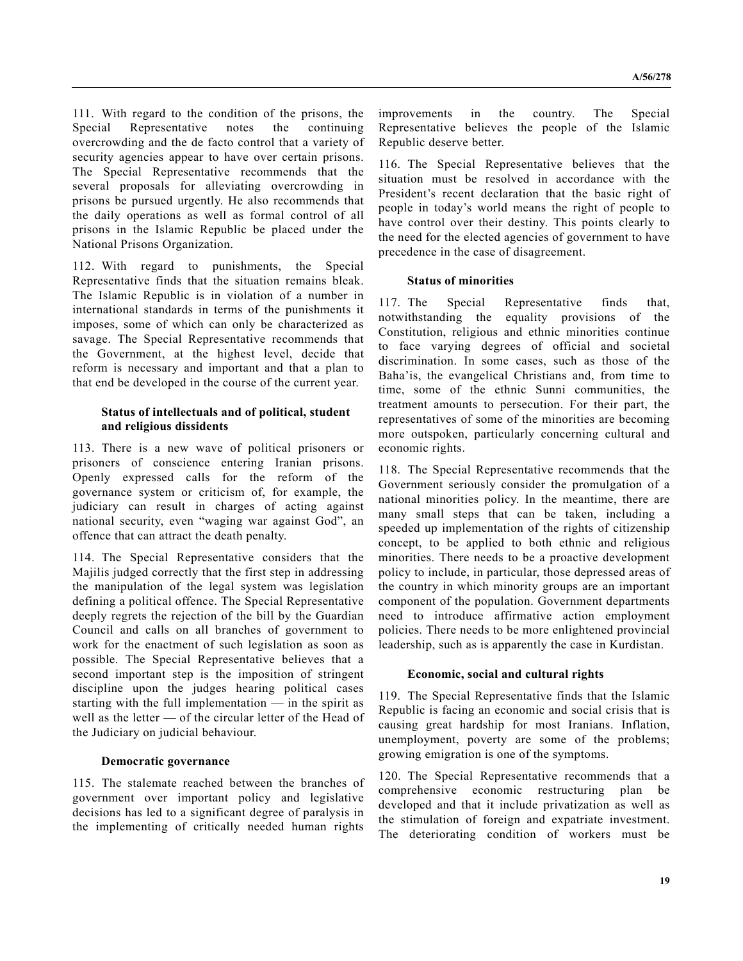111. With regard to the condition of the prisons, the Special Representative notes the continuing overcrowding and the de facto control that a variety of security agencies appear to have over certain prisons. The Special Representative recommends that the several proposals for alleviating overcrowding in prisons be pursued urgently. He also recommends that the daily operations as well as formal control of all prisons in the Islamic Republic be placed under the National Prisons Organization.

112. With regard to punishments, the Special Representative finds that the situation remains bleak. The Islamic Republic is in violation of a number in international standards in terms of the punishments it imposes, some of which can only be characterized as savage. The Special Representative recommends that the Government, at the highest level, decide that reform is necessary and important and that a plan to that end be developed in the course of the current year.

#### **Status of intellectuals and of political, student and religious dissidents**

113. There is a new wave of political prisoners or prisoners of conscience entering Iranian prisons. Openly expressed calls for the reform of the governance system or criticism of, for example, the judiciary can result in charges of acting against national security, even "waging war against God", an offence that can attract the death penalty.

114. The Special Representative considers that the Majilis judged correctly that the first step in addressing the manipulation of the legal system was legislation defining a political offence. The Special Representative deeply regrets the rejection of the bill by the Guardian Council and calls on all branches of government to work for the enactment of such legislation as soon as possible. The Special Representative believes that a second important step is the imposition of stringent discipline upon the judges hearing political cases starting with the full implementation — in the spirit as well as the letter — of the circular letter of the Head of the Judiciary on judicial behaviour.

#### **Democratic governance**

115. The stalemate reached between the branches of government over important policy and legislative decisions has led to a significant degree of paralysis in the implementing of critically needed human rights

improvements in the country. The Special Representative believes the people of the Islamic Republic deserve better.

116. The Special Representative believes that the situation must be resolved in accordance with the President's recent declaration that the basic right of people in today's world means the right of people to have control over their destiny. This points clearly to the need for the elected agencies of government to have precedence in the case of disagreement.

#### **Status of minorities**

117. The Special Representative finds that, notwithstanding the equality provisions of the Constitution, religious and ethnic minorities continue to face varying degrees of official and societal discrimination. In some cases, such as those of the Baha'is, the evangelical Christians and, from time to time, some of the ethnic Sunni communities, the treatment amounts to persecution. For their part, the representatives of some of the minorities are becoming more outspoken, particularly concerning cultural and economic rights.

118. The Special Representative recommends that the Government seriously consider the promulgation of a national minorities policy. In the meantime, there are many small steps that can be taken, including a speeded up implementation of the rights of citizenship concept, to be applied to both ethnic and religious minorities. There needs to be a proactive development policy to include, in particular, those depressed areas of the country in which minority groups are an important component of the population. Government departments need to introduce affirmative action employment policies. There needs to be more enlightened provincial leadership, such as is apparently the case in Kurdistan.

### **Economic, social and cultural rights**

119. The Special Representative finds that the Islamic Republic is facing an economic and social crisis that is causing great hardship for most Iranians. Inflation, unemployment, poverty are some of the problems; growing emigration is one of the symptoms.

120. The Special Representative recommends that a comprehensive economic restructuring plan be developed and that it include privatization as well as the stimulation of foreign and expatriate investment. The deteriorating condition of workers must be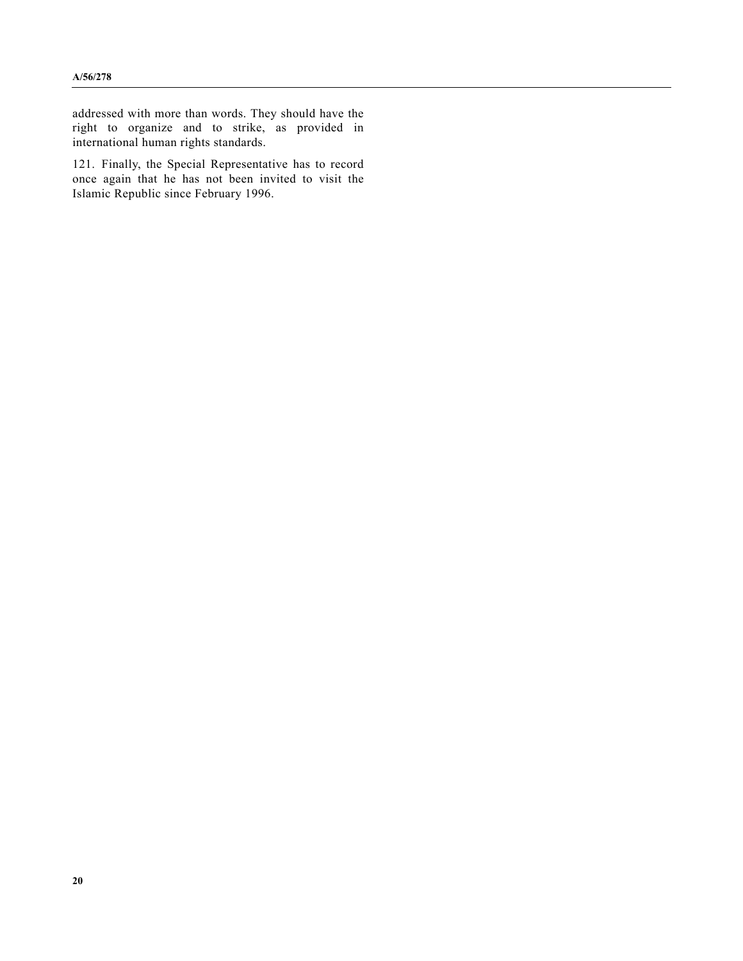addressed with more than words. They should have the right to organize and to strike, as provided in international human rights standards.

121. Finally, the Special Representative has to record once again that he has not been invited to visit the Islamic Republic since February 1996.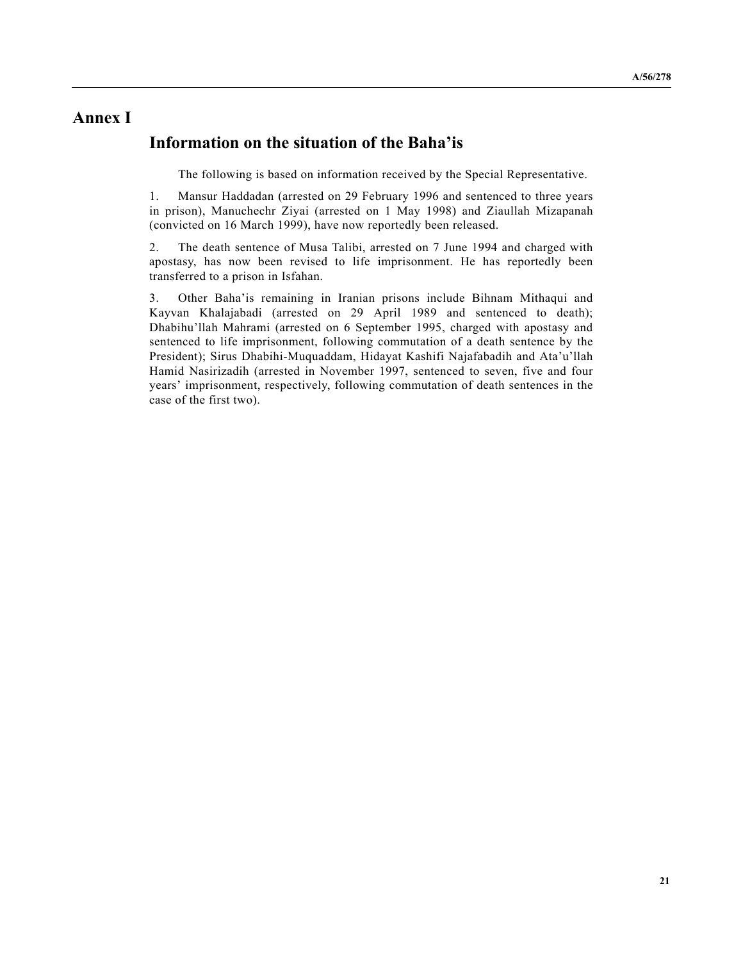## **Annex I**

## **Information on the situation of the Baha'is**

The following is based on information received by the Special Representative.

1. Mansur Haddadan (arrested on 29 February 1996 and sentenced to three years in prison), Manuchechr Ziyai (arrested on 1 May 1998) and Ziaullah Mizapanah (convicted on 16 March 1999), have now reportedly been released.

2. The death sentence of Musa Talibi, arrested on 7 June 1994 and charged with apostasy, has now been revised to life imprisonment. He has reportedly been transferred to a prison in Isfahan.

3. Other Baha'is remaining in Iranian prisons include Bihnam Mithaqui and Kayvan Khalajabadi (arrested on 29 April 1989 and sentenced to death); Dhabihu'llah Mahrami (arrested on 6 September 1995, charged with apostasy and sentenced to life imprisonment, following commutation of a death sentence by the President); Sirus Dhabihi-Muquaddam, Hidayat Kashifi Najafabadih and Ata'u'llah Hamid Nasirizadih (arrested in November 1997, sentenced to seven, five and four years' imprisonment, respectively, following commutation of death sentences in the case of the first two).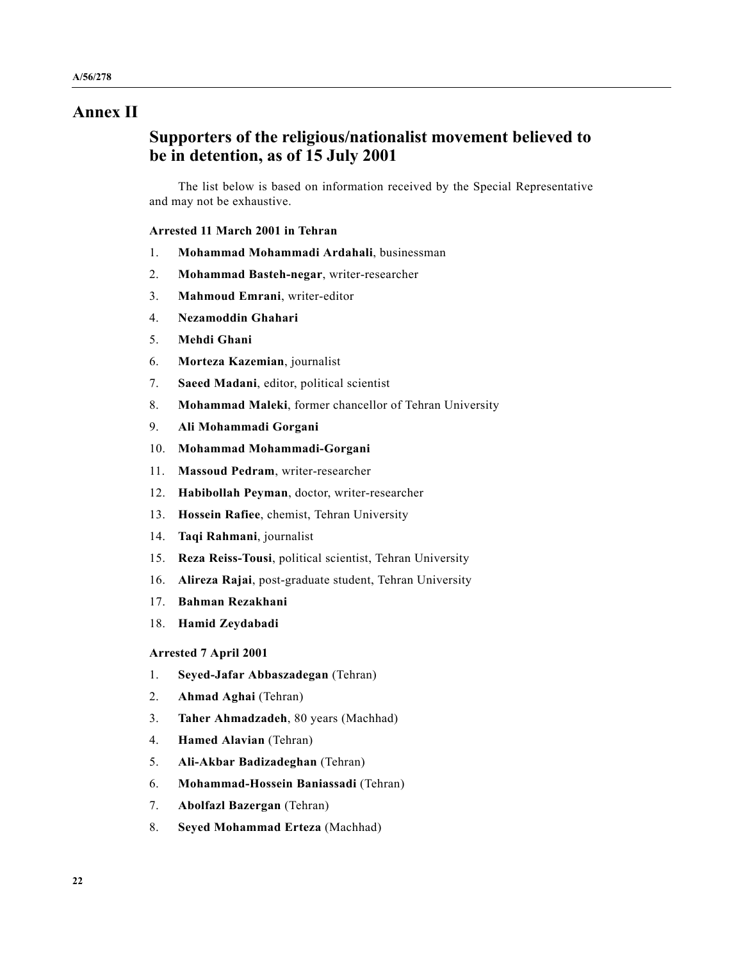# **Annex II**

## **Supporters of the religious/nationalist movement believed to be in detention, as of 15 July 2001**

The list below is based on information received by the Special Representative and may not be exhaustive.

#### **Arrested 11 March 2001 in Tehran**

- 1. **Mohammad Mohammadi Ardahali**, businessman
- 2. **Mohammad Basteh-negar**, writer-researcher
- 3. **Mahmoud Emrani**, writer-editor
- 4. **Nezamoddin Ghahari**
- 5. **Mehdi Ghani**
- 6. **Morteza Kazemian**, journalist
- 7. **Saeed Madani**, editor, political scientist
- 8. **Mohammad Maleki**, former chancellor of Tehran University
- 9. **Ali Mohammadi Gorgani**
- 10. **Mohammad Mohammadi-Gorgani**
- 11. **Massoud Pedram**, writer-researcher
- 12. **Habibollah Peyman**, doctor, writer-researcher
- 13. **Hossein Rafiee**, chemist, Tehran University
- 14. **Taqi Rahmani**, journalist
- 15. **Reza Reiss-Tousi**, political scientist, Tehran University
- 16. **Alireza Rajai**, post-graduate student, Tehran University
- 17. **Bahman Rezakhani**
- 18. **Hamid Zeydabadi**

#### **Arrested 7 April 2001**

- 1. **Seyed-Jafar Abbaszadegan** (Tehran)
- 2. **Ahmad Aghai** (Tehran)
- 3. **Taher Ahmadzadeh**, 80 years (Machhad)
- 4. **Hamed Alavian** (Tehran)
- 5. **Ali-Akbar Badizadeghan** (Tehran)
- 6. **Mohammad-Hossein Baniassadi** (Tehran)
- 7. **Abolfazl Bazergan** (Tehran)
- 8. **Seyed Mohammad Erteza** (Machhad)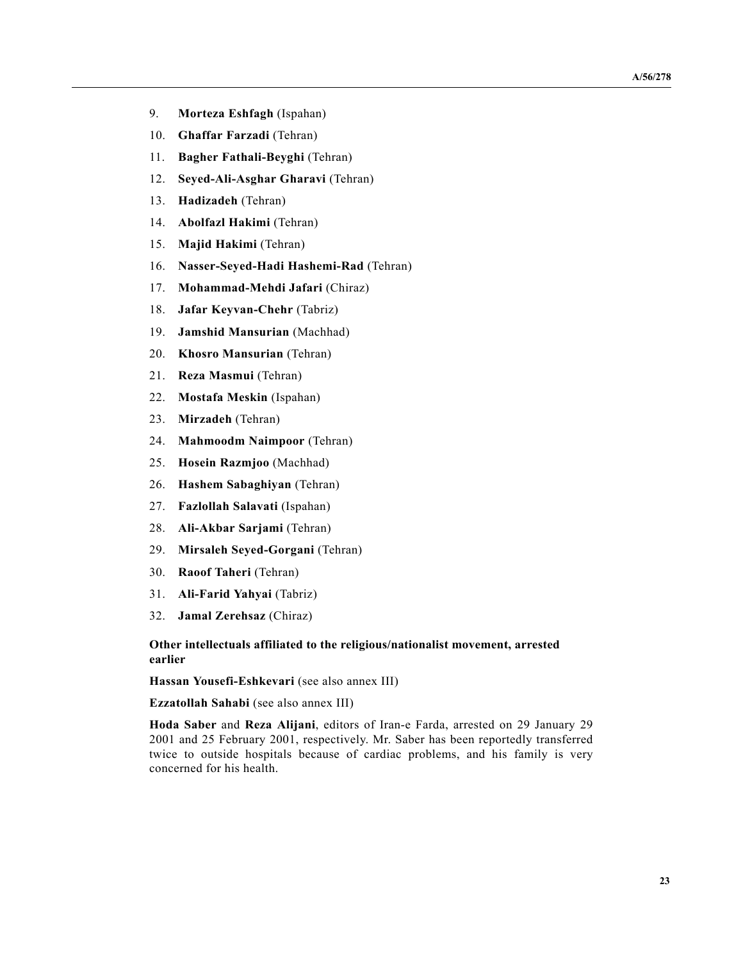- 9. **Morteza Eshfagh** (Ispahan)
- 10. **Ghaffar Farzadi** (Tehran)
- 11. **Bagher Fathali-Beyghi** (Tehran)
- 12. **Seyed-Ali-Asghar Gharavi** (Tehran)
- 13. **Hadizadeh** (Tehran)
- 14. **Abolfazl Hakimi** (Tehran)
- 15. **Majid Hakimi** (Tehran)
- 16. **Nasser-Seyed-Hadi Hashemi-Rad** (Tehran)
- 17. **Mohammad-Mehdi Jafari** (Chiraz)
- 18. **Jafar Keyvan-Chehr** (Tabriz)
- 19. **Jamshid Mansurian** (Machhad)
- 20. **Khosro Mansurian** (Tehran)
- 21. **Reza Masmui** (Tehran)
- 22. **Mostafa Meskin** (Ispahan)
- 23. **Mirzadeh** (Tehran)
- 24. **Mahmoodm Naimpoor** (Tehran)
- 25. **Hosein Razmjoo** (Machhad)
- 26. **Hashem Sabaghiyan** (Tehran)
- 27. **Fazlollah Salavati** (Ispahan)
- 28. **Ali-Akbar Sarjami** (Tehran)
- 29. **Mirsaleh Seyed-Gorgani** (Tehran)
- 30. **Raoof Taheri** (Tehran)
- 31. **Ali-Farid Yahyai** (Tabriz)
- 32. **Jamal Zerehsaz** (Chiraz)

### **Other intellectuals affiliated to the religious/nationalist movement, arrested earlier**

**Hassan Yousefi-Eshkevari** (see also annex III)

**Ezzatollah Sahabi** (see also annex III)

**Hoda Saber** and **Reza Alijani**, editors of Iran-e Farda, arrested on 29 January 29 2001 and 25 February 2001, respectively. Mr. Saber has been reportedly transferred twice to outside hospitals because of cardiac problems, and his family is very concerned for his health.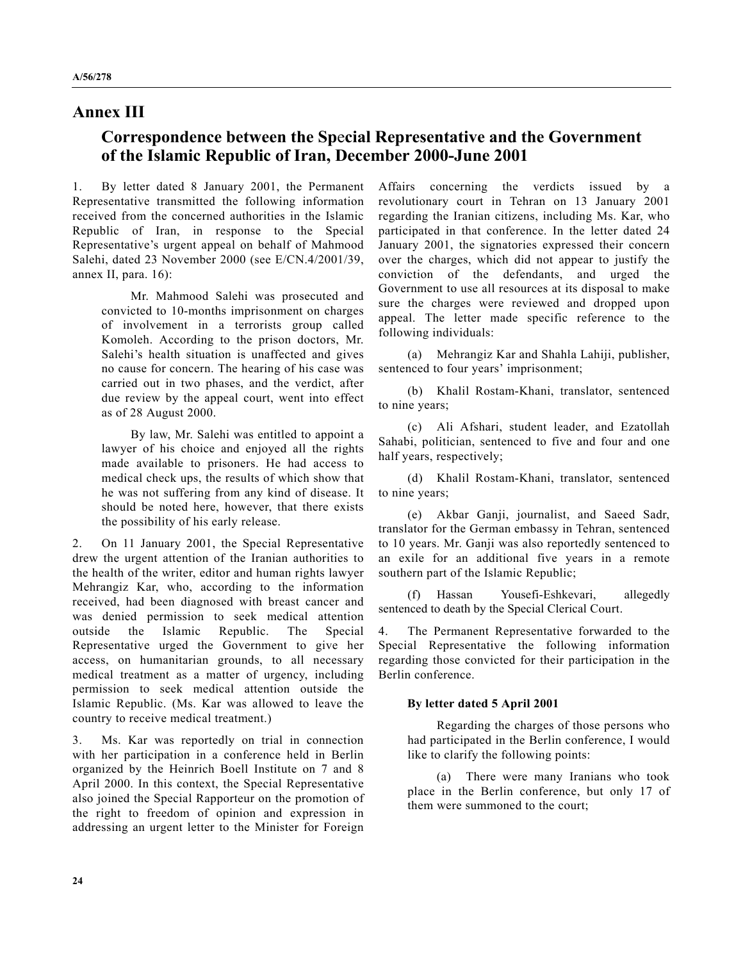## **Annex III**

## **Correspondence between the Sp**e**cial Representative and the Government of the Islamic Republic of Iran, December 2000-June 2001**

1. By letter dated 8 January 2001, the Permanent Representative transmitted the following information received from the concerned authorities in the Islamic Republic of Iran, in response to the Special Representative's urgent appeal on behalf of Mahmood Salehi, dated 23 November 2000 (see E/CN.4/2001/39, annex II, para. 16):

Mr. Mahmood Salehi was prosecuted and convicted to 10-months imprisonment on charges of involvement in a terrorists group called Komoleh. According to the prison doctors, Mr. Salehi's health situation is unaffected and gives no cause for concern. The hearing of his case was carried out in two phases, and the verdict, after due review by the appeal court, went into effect as of 28 August 2000.

By law, Mr. Salehi was entitled to appoint a lawyer of his choice and enjoyed all the rights made available to prisoners. He had access to medical check ups, the results of which show that he was not suffering from any kind of disease. It should be noted here, however, that there exists the possibility of his early release.

2. On 11 January 2001, the Special Representative drew the urgent attention of the Iranian authorities to the health of the writer, editor and human rights lawyer Mehrangiz Kar, who, according to the information received, had been diagnosed with breast cancer and was denied permission to seek medical attention outside the Islamic Republic. The Special Representative urged the Government to give her access, on humanitarian grounds, to all necessary medical treatment as a matter of urgency, including permission to seek medical attention outside the Islamic Republic. (Ms. Kar was allowed to leave the country to receive medical treatment.)

3. Ms. Kar was reportedly on trial in connection with her participation in a conference held in Berlin organized by the Heinrich Boell Institute on 7 and 8 April 2000. In this context, the Special Representative also joined the Special Rapporteur on the promotion of the right to freedom of opinion and expression in addressing an urgent letter to the Minister for Foreign

Affairs concerning the verdicts issued by a revolutionary court in Tehran on 13 January 2001 regarding the Iranian citizens, including Ms. Kar, who participated in that conference. In the letter dated 24 January 2001, the signatories expressed their concern over the charges, which did not appear to justify the conviction of the defendants, and urged the Government to use all resources at its disposal to make sure the charges were reviewed and dropped upon appeal. The letter made specific reference to the following individuals:

(a) Mehrangiz Kar and Shahla Lahiji, publisher, sentenced to four years' imprisonment;

(b) Khalil Rostam-Khani, translator, sentenced to nine years;

(c) Ali Afshari, student leader, and Ezatollah Sahabi, politician, sentenced to five and four and one half years, respectively;

(d) Khalil Rostam-Khani, translator, sentenced to nine years;

(e) Akbar Ganji, journalist, and Saeed Sadr, translator for the German embassy in Tehran, sentenced to 10 years. Mr. Ganji was also reportedly sentenced to an exile for an additional five years in a remote southern part of the Islamic Republic;

(f) Hassan Yousefi-Eshkevari, allegedly sentenced to death by the Special Clerical Court.

4. The Permanent Representative forwarded to the Special Representative the following information regarding those convicted for their participation in the Berlin conference.

#### **By letter dated 5 April 2001**

Regarding the charges of those persons who had participated in the Berlin conference, I would like to clarify the following points:

(a) There were many Iranians who took place in the Berlin conference, but only 17 of them were summoned to the court;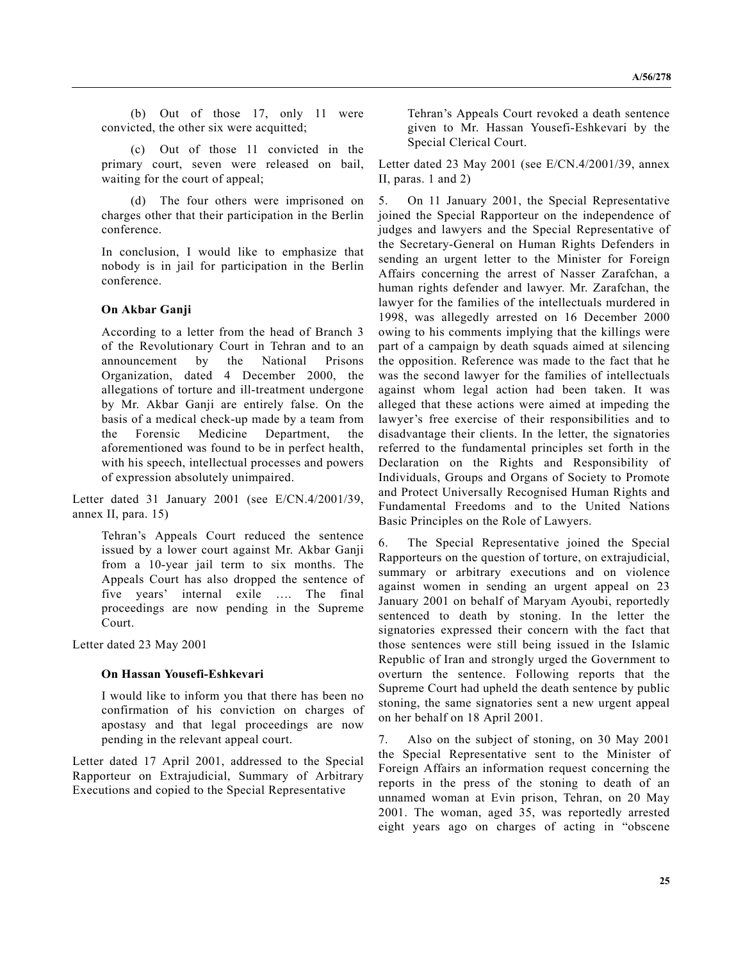(b) Out of those 17, only 11 were convicted, the other six were acquitted;

(c) Out of those 11 convicted in the primary court, seven were released on bail, waiting for the court of appeal;

(d) The four others were imprisoned on charges other that their participation in the Berlin conference.

In conclusion, I would like to emphasize that nobody is in jail for participation in the Berlin conference.

### **On Akbar Ganji**

According to a letter from the head of Branch 3 of the Revolutionary Court in Tehran and to an announcement by the National Prisons Organization, dated 4 December 2000, the allegations of torture and ill-treatment undergone by Mr. Akbar Ganji are entirely false. On the basis of a medical check-up made by a team from the Forensic Medicine Department, the aforementioned was found to be in perfect health, with his speech, intellectual processes and powers of expression absolutely unimpaired.

Letter dated 31 January 2001 (see E/CN.4/2001/39, annex II, para. 15)

Tehran's Appeals Court reduced the sentence issued by a lower court against Mr. Akbar Ganji from a 10-year jail term to six months. The Appeals Court has also dropped the sentence of five years' internal exile …. The final proceedings are now pending in the Supreme Court.

Letter dated 23 May 2001

#### **On Hassan Yousefi-Eshkevari**

I would like to inform you that there has been no confirmation of his conviction on charges of apostasy and that legal proceedings are now pending in the relevant appeal court.

Letter dated 17 April 2001, addressed to the Special Rapporteur on Extrajudicial, Summary of Arbitrary Executions and copied to the Special Representative

Tehran's Appeals Court revoked a death sentence given to Mr. Hassan Yousefi-Eshkevari by the Special Clerical Court.

Letter dated 23 May 2001 (see E/CN.4/2001/39, annex II, paras. 1 and 2)

5. On 11 January 2001, the Special Representative joined the Special Rapporteur on the independence of judges and lawyers and the Special Representative of the Secretary-General on Human Rights Defenders in sending an urgent letter to the Minister for Foreign Affairs concerning the arrest of Nasser Zarafchan, a human rights defender and lawyer. Mr. Zarafchan, the lawyer for the families of the intellectuals murdered in 1998, was allegedly arrested on 16 December 2000 owing to his comments implying that the killings were part of a campaign by death squads aimed at silencing the opposition. Reference was made to the fact that he was the second lawyer for the families of intellectuals against whom legal action had been taken. It was alleged that these actions were aimed at impeding the lawyer's free exercise of their responsibilities and to disadvantage their clients. In the letter, the signatories referred to the fundamental principles set forth in the Declaration on the Rights and Responsibility of Individuals, Groups and Organs of Society to Promote and Protect Universally Recognised Human Rights and Fundamental Freedoms and to the United Nations Basic Principles on the Role of Lawyers.

6. The Special Representative joined the Special Rapporteurs on the question of torture, on extrajudicial, summary or arbitrary executions and on violence against women in sending an urgent appeal on 23 January 2001 on behalf of Maryam Ayoubi, reportedly sentenced to death by stoning. In the letter the signatories expressed their concern with the fact that those sentences were still being issued in the Islamic Republic of Iran and strongly urged the Government to overturn the sentence. Following reports that the Supreme Court had upheld the death sentence by public stoning, the same signatories sent a new urgent appeal on her behalf on 18 April 2001.

7. Also on the subject of stoning, on 30 May 2001 the Special Representative sent to the Minister of Foreign Affairs an information request concerning the reports in the press of the stoning to death of an unnamed woman at Evin prison, Tehran, on 20 May 2001. The woman, aged 35, was reportedly arrested eight years ago on charges of acting in "obscene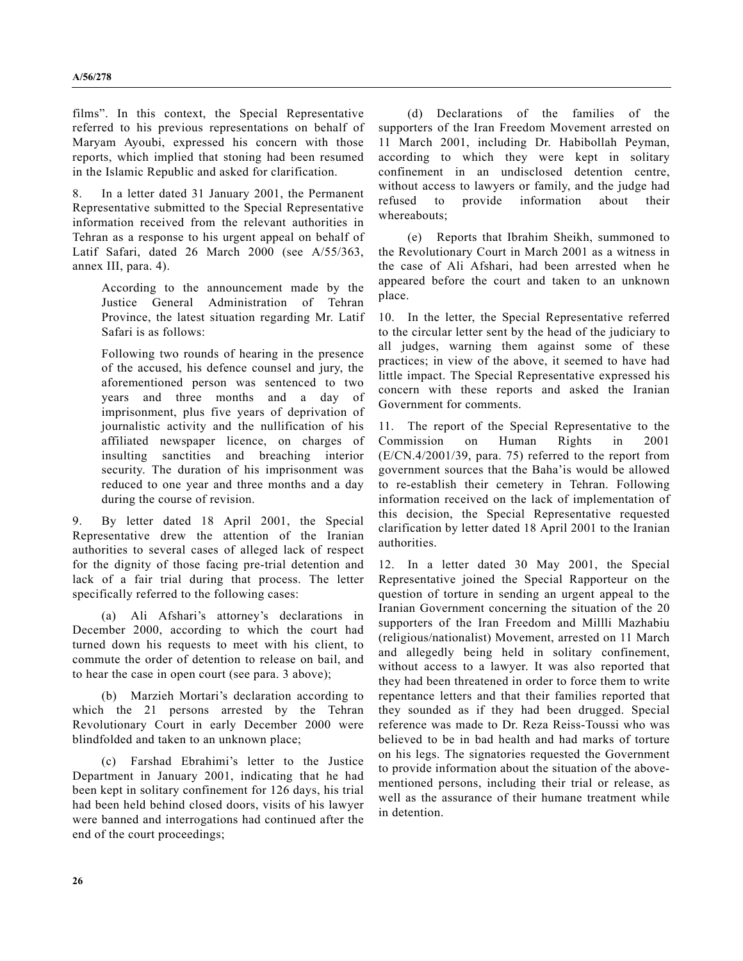films". In this context, the Special Representative referred to his previous representations on behalf of Maryam Ayoubi, expressed his concern with those reports, which implied that stoning had been resumed in the Islamic Republic and asked for clarification.

8. In a letter dated 31 January 2001, the Permanent Representative submitted to the Special Representative information received from the relevant authorities in Tehran as a response to his urgent appeal on behalf of Latif Safari, dated 26 March 2000 (see A/55/363, annex III, para. 4).

According to the announcement made by the Justice General Administration of Tehran Province, the latest situation regarding Mr. Latif Safari is as follows:

Following two rounds of hearing in the presence of the accused, his defence counsel and jury, the aforementioned person was sentenced to two years and three months and a day of imprisonment, plus five years of deprivation of journalistic activity and the nullification of his affiliated newspaper licence, on charges of insulting sanctities and breaching interior security. The duration of his imprisonment was reduced to one year and three months and a day during the course of revision.

9. By letter dated 18 April 2001, the Special Representative drew the attention of the Iranian authorities to several cases of alleged lack of respect for the dignity of those facing pre-trial detention and lack of a fair trial during that process. The letter specifically referred to the following cases:

(a) Ali Afshari's attorney's declarations in December 2000, according to which the court had turned down his requests to meet with his client, to commute the order of detention to release on bail, and to hear the case in open court (see para. 3 above);

(b) Marzieh Mortari's declaration according to which the 21 persons arrested by the Tehran Revolutionary Court in early December 2000 were blindfolded and taken to an unknown place;

(c) Farshad Ebrahimi's letter to the Justice Department in January 2001, indicating that he had been kept in solitary confinement for 126 days, his trial had been held behind closed doors, visits of his lawyer were banned and interrogations had continued after the end of the court proceedings;

(d) Declarations of the families of the supporters of the Iran Freedom Movement arrested on 11 March 2001, including Dr. Habibollah Peyman, according to which they were kept in solitary confinement in an undisclosed detention centre, without access to lawyers or family, and the judge had refused to provide information about their whereabouts;

(e) Reports that Ibrahim Sheikh, summoned to the Revolutionary Court in March 2001 as a witness in the case of Ali Afshari, had been arrested when he appeared before the court and taken to an unknown place.

10. In the letter, the Special Representative referred to the circular letter sent by the head of the judiciary to all judges, warning them against some of these practices; in view of the above, it seemed to have had little impact. The Special Representative expressed his concern with these reports and asked the Iranian Government for comments.

11. The report of the Special Representative to the Commission on Human Rights in 2001 (E/CN.4/2001/39, para. 75) referred to the report from government sources that the Baha'is would be allowed to re-establish their cemetery in Tehran. Following information received on the lack of implementation of this decision, the Special Representative requested clarification by letter dated 18 April 2001 to the Iranian authorities.

12. In a letter dated 30 May 2001, the Special Representative joined the Special Rapporteur on the question of torture in sending an urgent appeal to the Iranian Government concerning the situation of the 20 supporters of the Iran Freedom and Millli Mazhabiu (religious/nationalist) Movement, arrested on 11 March and allegedly being held in solitary confinement, without access to a lawyer. It was also reported that they had been threatened in order to force them to write repentance letters and that their families reported that they sounded as if they had been drugged. Special reference was made to Dr. Reza Reiss-Toussi who was believed to be in bad health and had marks of torture on his legs. The signatories requested the Government to provide information about the situation of the abovementioned persons, including their trial or release, as well as the assurance of their humane treatment while in detention.